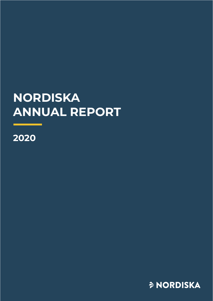# **NORDISKA ANNUAL REPORT**

**2020**

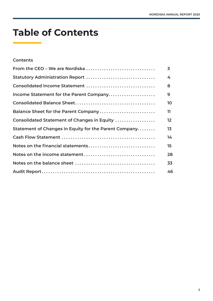# **Table of Contents**

## **Contents**

| From the CEO – We are Nordiska $\ldots \ldots \ldots \ldots \ldots \ldots \ldots \ldots \ldots \ldots$ | 3                 |
|--------------------------------------------------------------------------------------------------------|-------------------|
| Statutory Administration Report                                                                        | 4                 |
| Consolidated Income Statement                                                                          | 8                 |
| Income Statement for the Parent Company                                                                | 9                 |
|                                                                                                        | 10                |
| Balance Sheet for the Parent Company                                                                   | 11                |
| Consolidated Statement of Changes in Equity                                                            | $12 \overline{ }$ |
| Statement of Changes in Equity for the Parent Company                                                  | 13                |
|                                                                                                        | 14                |
| Notes on the financial statements                                                                      | 15                |
|                                                                                                        | 28                |
|                                                                                                        | 33                |
|                                                                                                        | 46                |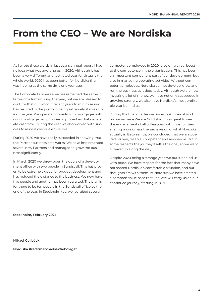# **From the CEO – We are Nordiska**

As I wrote these words in last year's annual report, I had no idea what was awaiting us in 2020. Although it has been a very different and restricted year for virtually the whole world, 2020 has been better for Nordiska than I was hoping at the same time one year ago.

The Corporate business area has remained the same in terms of volume during the year, but we are pleased to confirm that our work in recent years to minimise risk has resulted in the portfolio being extremely stable during the year. We operate primarily with mortgages with good mortgage lien priorities in properties that generate cash flow. During the year we also worked with success to resolve overdue exposures.

During 2020 we have really succeeded in showing that the Partner business area works. We have implemented several new Partners and managed to grow the business significantly.

In March 2020 we threw open the doors of a development office with two people in Sundsvall. This has proven to be extremely good for product development and has reduced the distance to the business. We now have five people and another has been recruited. The plan is for there to be ten people in the Sundsvall office by the end of the year. In Stockholm too, we recruited several

competent employees in 2020, providing a real boost to the competence in the organisation. This has been an important component part of our development, but also in managing operating activities. Without competent employees, Nordiska cannot develop, grow and run the business as it does today. Although we are now investing a lot of money, we have not only succeeded in growing strongly, we also have Nordiska's most profitable year behind us.

During the final quarter we undertook internal work on our values – We are Nordiska. It was great to see the engagement of all colleagues, with most of them sharing more or less the same vision of what Nordiska actually is. Between us, we concluded that we are positive, driven, reliable, competent and responsive. But in some respects the journey itself is the goal, so we want to have fun along the way.

Despite 2020 being a strange year, we put it behind us with pride. We have respect for the fact that many have not shared Nordiska's comfortable situation, and our thoughts are with them. At Nordiska we have created a common value base that I believe will carry us on our continued journey, starting in 2021.

**Stockholm, February 2021**

**Mikael Gellbäck**

**Nordiska Kreditmarknadsaktiebolaget**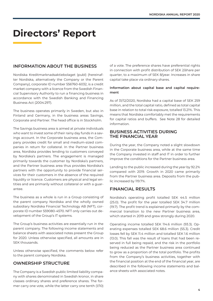# **Directors' Report**

## **INFORMATION ABOUT THE BUSINESS**

Nordiska Kreditmarknadsaktiebolaget (publ) (hereinafter Nordiska, alternatively the Company or the Parent Company), corporate ID number 556760-6032, is a credit market company with a licence from the Swedish Financial Supervisory Authority to run a financing business in accordance with the Swedish Banking and Financing Business Act (2004:297).

The business operates primarily in Sweden, but also in Finland and Germany, in the business areas Savings, Corporate and Partner. The head office is in Stockholm.

The Savings business area is aimed at private individuals who want to invest some of their rainy day funds in a savings account. In the Corporate business area, the Company provides credit for small and medium-sized companies in return for collateral. In the Partner business area, Nordiska provides lending to customers conveyed by Nordiska's partners. The engagement is managed primarily towards the customer by Nordiska's partners, and the Partner business area thus provides Nordiska's partners with the opportunity to provide financial services for their customers in the absence of the required liquidity or licence. Customers are physical and legal entities and are primarily without collateral or with a guarantee.

The business as a whole is run in a Group consisting of the parent company Nordiska and the wholly owned subsidiary Nordiska Financial Technology AB (NFT), corporate ID number 559080-4570. NFT only carries out development of the Group's IT systems.

The Group's business activities are essentially run in the parent company. The following income statements and balance sheets with associated notes present the Group for 2020. Unless otherwise specified, all amounts are in SEK thousands.

Unless otherwise specified, the comments below refer to the parent company Nordiska.

# **OWNERSHIP STRUCTURE**

The Company is a Swedish public limited liability company with shares denominated in Swedish kronor, in share classes ordinary shares and preference shares. The former carry one vote, while the latter carry one tenth (1/10) of a vote. The preference shares have preferential rights in connection with profit distribution of SEK 2/share per quarter, to a maximum of SEK 8/year. Increases in share capital take place via ordinary shares.

#### **Information about capital base and capital requirement**

As of 31/12/2020, Nordiska had a capital base of SEK 259 million, and the total capital ratio, defined as total capital base in relation to total risk exposure, totalled 13.21%. This means that Nordiska comfortably met the requirements for capital ratios and buffers. See Note 28 for detailed information.

### **BUSINESS ACTIVITIES DURING THE FINANCIAL YEAR**

During the year, the Company noted a slight slowdown in the Corporate business area, while at the same time the Company invested in staff and IT in order to further improve the conditions for the Partner business area.

Lending to the public increased during the year by 92.2% compared with 2019. Growth in 2020 came primarily from the Partner business area. Deposits from the public increased by 119.7%.

### **FINANCIAL RESULTS**

Nordiska's operating profit totalled SEK 44.5 million (25.0). The profit for the year totalled SEK 34.7 million (19.7). The profit trend is explained primarily by the commercial transition to the new Partner business area, which started in 2019 and grew strongly during 2020.

Operating income totalled SEK 114.6 million (93.3). Operating expenses totalled SEK 68.6 million (55.3). Credit losses fell by SEK 11.4 million and totalled SEK 1.6 million (13.0). This fall was the result of loans that had been reserved in full being repaid, and the risk in the portfolio being reduced as the Partner business area continued to grow as a proportion of the total portfolio. The profits from the Company's business activities, together with the financial position at the end of the financial year, are described in the following income statements and balance sheets with associated notes.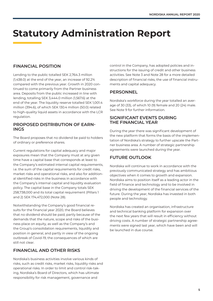# **Statutory Administration Report**

# **FINANCIAL POSITION**

Lending to the public totalled SEK 2,764.3 million (1,438.0) at the end of the year, an increase of 92.2% compared with the previous year. Growth in 2020 continued to come primarily from the Partner business area. Deposits from the public increased in line with lending, totalling SEK 3,444.0 million (1,567.6) at the end of the year. The liquidity reserve totalled SEK 1,001.4 million (394.6), of which SEK 130.4 million (50.0) related to high-quality liquid assets in accordance with the LCR regulation.

### **PROPOSED DISTRIBUTION OF EARN-INGS**

The Board proposes that no dividend be paid to holders of ordinary or preference shares.

Current regulations for capital adequacy and major exposures mean that the Company must at any given time have a capital base that corresponds at least to the Company's estimated internal capital requirements, i.e. the sum of the capital requirements for credit risks, market risks and operational risks, and also for additional identified risks in the business in accordance with the Company's internal capital and liquidity evaluation policy. The capital base in the Company totals SEK 258,738,000 and its total capital requirement (Pillars 1 and 2) SEK 174,472,000 (Note 28).

Notwithstanding the Company's good financial results for the financial year 2020, the Board believes that no dividend should be paid, partly because of the demands that the nature, scope and risks of the business place on equity, as well as the Company's and the Group's consolidation requirements, liquidity and position in general, and partly in view of the ongoing outbreak of Covid-19, the consequences of which are still not clear.

# **FINANCIAL AND OTHER RISKS**

Nordiska's business activities involve various kinds of risks, such as credit risks, market risks, liquidity risks and operational risks. In order to limit and control risk-taking, Nordiska's Board of Directors, which has ultimate responsibility for risk management, governance and

control in the Company, has adopted policies and instructions for the issuing of credit and other business activities. See Note 3 and Note 28 for a more detailed description of financial risks, the use of financial instruments and capital adequacy.

# **PERSONNEL**

Nordiska's workforce during the year totalled an average of 30 (33), of which 10 (9) female and 20 (24) male. See Note 9 for further information.

### **SIGNIFICANT EVENTS DURING THE FINANCIAL YEAR**

During the year there was significant development of the new platform that forms the basis of the implementation of Nordiska's strategy to further upscale the Partner business area. A number of strategic partnership agreements were launched during the year.

# **FUTURE OUTLOOK**

Nordiska will continue to work in accordance with the previously communicated strategy and has ambitious objectives when it comes to growth and expansion. Nordiska aims to position itself as a leading actor in the field of finance and technology and to be involved in driving the development of the financial services of the future. During the year, Nordiska has invested in both people and technology.

Nordiska has created an organisation, infrastructure and technical banking platform for expansion over the next few years that will result in efficiency without driving costs. A number of strategic partnership agreements were signed last year, which have been and will be launched in due course.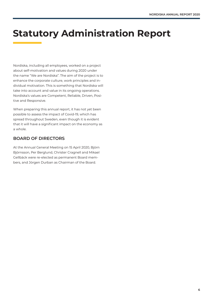# **Statutory Administration Report**

Nordiska, including all employees, worked on a project about self-motivation and values during 2020 under the name "We are Nordiska". The aim of the project is to enhance the corporate culture, work principles and individual motivation. This is something that Nordiska will take into account and value in its ongoing operations. Nordiska's values are Competent, Reliable, Driven, Positive and Responsive.

When preparing this annual report, it has not yet been possible to assess the impact of Covid-19, which has spread throughout Sweden, even though it is evident that it will have a significant impact on the economy as a whole.

# **BOARD OF DIRECTORS**

At the Annual General Meeting on 15 April 2020, Björn Björnsson, Per Berglund, Christer Cragnell and Mikael Gellbäck were re-elected as permanent Board members, and Jörgen Durban as Chairman of the Board.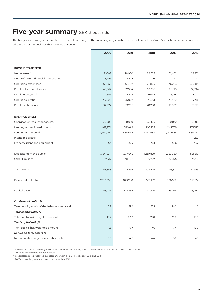# **Five-year summary** SEK thousands

The five-year summary refers solely to the parent company, as the subsidiary only constitutes a small part of the Group's activities and does not constitute part of the business that requires a licence.

|                                                | 2020      | 2019      | 2018      | 2017      | 2016      |
|------------------------------------------------|-----------|-----------|-----------|-----------|-----------|
|                                                |           |           |           |           |           |
| <b>INCOME STATEMENT</b>                        |           |           |           |           |           |
| Net interest *                                 | 99,107    | 76,080    | 89,625    | 31,402    | 29,971    |
| Net profit from financial transactions *       | $-3,209$  | 1,928     | 281       | $-77$     | 242       |
| Operating expenses *                           | $-68,556$ | $-55,277$ | $-44,824$ | $-36,283$ | $-30,984$ |
| Profit before credit losses                    | 46,067    | 37,984    | 59,236    | 26,618    | 22,394    |
| Credit losses, net **                          | $-1,559$  | $-12,977$ | $-19,045$ | $-6,198$  | $-8,012$  |
| Operating profit                               | 44,508    | 25,007    | 40,191    | 20,420    | 14,381    |
| Profit for the period                          | 34,722    | 19,706    | 28,230    | 15,802    | 11,317    |
| <b>BALANCE SHEET</b>                           |           |           |           |           |           |
| Chargeable treasury bonds, etc.                | 76,006    | 50,030    | 50,124    | 50,032    | 30,000    |
| Lending to credit institutions                 | 462,974   | 320,612   | 203,725   | 245,759   | 133,327   |
| Lending to the public                          | 2,764,292 | 1,438,042 | 1,292,087 | 1,000,585 | 485,372   |
| Intangible assets                              |           |           |           |           | 253       |
| Property, plant and equipment                  | 254       | 324       | 481       | 566       | 442       |
| Deposits from the public                       | 3,444,011 | 1,567,645 | 1,230,879 | 1,049,920 | 551,819   |
| Other liabilities                              | 17,417    | 48,872    | 99,767    | 69,175    | 23,313    |
| Total equity                                   | 253,858   | 219,936   | 203,429   | 185,371   | 73,369    |
| Balance sheet total                            | 3,780,998 | 1,843,280 | 1,555,187 | 1,306,582 | 655,351   |
| Capital base                                   | 258,739   | 222,264   | 207,170   | 189,026   | 75,460    |
| Equity/assets ratio, %                         |           |           |           |           |           |
| Taxed equity as a % of the balance sheet total | 6.7       | 11.9      | 13.1      | 14.2      | 11.2      |
| Total capital ratio, %                         |           |           |           |           |           |
| Total capital/risk-weighted amount             | 13.2      | 23.2      | 21.0      | 21.2      | 17.0      |
| Tier 1 capital ratio,%                         |           |           |           |           |           |
| Tier 1 capital/risk-weighted amount            | 11.5      | 19.7      | 17.6      | 17.4      | 13.9      |
| Return on total assets, %                      |           |           |           |           |           |
| Net interest/average balance sheet total       | $3.5$     | 4.5       | 4.4       | 3.2       | 4.3       |

\* New definitions in operating income and expenses as of 2019; 2018 has been adjusted for the purpose of comparison.

2017 and earlier years are not affected.

\*\* Credit losses are presented in accordance with IFRS 9 in respect of 2019 and 2018.

2017 and earlier years are in accordance with IAS 39.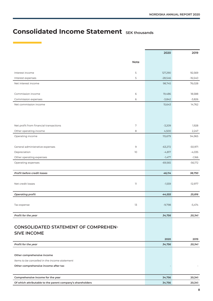# **Consolidated Income Statement SEK thousands**

|                                                            |             | 2020      | 2019      |
|------------------------------------------------------------|-------------|-----------|-----------|
|                                                            | Note        |           |           |
|                                                            |             |           |           |
| Interest income                                            | 5           | 127,290   | 92,569    |
| Interest expenses                                          | 5           | $-28,546$ | $-16,540$ |
| Net interest income                                        |             | 98,745    | 76,028    |
|                                                            |             |           |           |
| Commission income                                          | 6           | 19,486    | 18,588    |
| Commission expenses                                        | 6           | $-3,842$  | $-3,826$  |
| Net commission income                                      |             | 15,643    | 14,762    |
|                                                            |             |           |           |
|                                                            |             |           |           |
|                                                            |             |           |           |
| Net profit from financial transactions                     | $\sqrt{ }$  | $-3,209$  | 1,928     |
| Other operating income                                     | 8           | 4,500     | 2,247     |
| Operating income                                           |             | 115,679   | 94,965    |
|                                                            |             |           |           |
| General administrative expenses                            | $\mathsf 9$ | $-63,272$ | $-50,971$ |
| Depreciation                                               | 10          | $-4,817$  | $-4,035$  |
| Other operating expenses                                   |             | $-1,477$  | $-1,166$  |
| Operating expenses                                         |             | $-69,565$ | $-56,172$ |
| Profit before credit losses                                |             | 46,114    | 38,793    |
|                                                            |             |           |           |
| Net credit losses                                          | $11\,$      | $-1,559$  | $-12,977$ |
|                                                            |             |           |           |
| Operating profit                                           |             | 44,555    | 25,816    |
|                                                            |             |           |           |
| Tax expense                                                | 13          | $-9,798$  | $-5,474$  |
|                                                            |             |           |           |
| Profit for the year                                        |             | 34,756    | 20,341    |
|                                                            |             |           |           |
| <b>CONSOLIDATED STATEMENT OF COMPREHEN-</b>                |             |           |           |
| <b>SIVE INCOME</b>                                         |             |           |           |
|                                                            |             | 2020      | 2019      |
| Profit for the year                                        |             | 34,756    | 20,341    |
|                                                            |             |           |           |
| Other comprehensive income                                 |             |           |           |
| Items to be cancelled in the income statement              |             |           |           |
| Other comprehensive income after tax                       |             |           |           |
|                                                            |             |           |           |
| Comprehensive income for the year                          |             | 34,756    | 20,341    |
| Of which attributable to the parent company's shareholders |             | 34,756    | 20,341    |
|                                                            |             |           |           |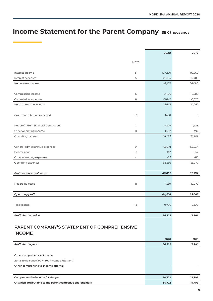# **Income Statement for the Parent Company** SEK thousands

|                                             |        | 2020      | 2019      |
|---------------------------------------------|--------|-----------|-----------|
|                                             | Note   |           |           |
|                                             |        |           |           |
| Interest income                             | 5      | 127,290   | 92,569    |
| Interest expenses                           | 5      | $-28,184$ | $-16,489$ |
| Net interest income                         |        | 99,107    | 76,080    |
|                                             |        |           |           |
| Commission income                           | 6      | 19,486    | 18,588    |
| Commission expenses                         | 6      | $-3,842$  | $-3,826$  |
| Net commission income                       |        | 15,643    | 14,762    |
|                                             |        |           |           |
| Group contributions received                | 12     | 1400      | $\circ$   |
|                                             |        |           |           |
| Net profit from financial transactions      | 7      | $-3,209$  | 1,928     |
| Other operating income                      | 8      | 1,682     | 492       |
| Operating income                            |        | 114,623   | 93,262    |
|                                             |        |           |           |
| General administrative expenses             | 9      | $-68,371$ | $-55,034$ |
| Depreciation                                | 10     | $-162$    | $-157$    |
| Other operating expenses                    | ä,     | $-23$     | $-86$     |
| Operating expenses                          |        | $-68,556$ | $-55,277$ |
|                                             |        |           |           |
| Profit before credit losses                 |        | 46,067    | 37,984    |
|                                             |        |           |           |
| Net credit losses                           | $11\,$ | $-1,559$  | $-12,977$ |
|                                             |        |           |           |
| <b>Operating profit</b>                     |        | 44,508    | 25,007    |
|                                             |        |           |           |
| Tax expense                                 | 13     | $-9,786$  | $-5,300$  |
|                                             |        |           |           |
| Profit for the period                       |        | 34,722    | 19,706    |
|                                             |        |           |           |
| PARENT COMPANY'S STATEMENT OF COMPREHENSIVE |        |           |           |

| <b>INCOME</b>                                              |        |        |
|------------------------------------------------------------|--------|--------|
|                                                            | 2020   | 2019   |
| Profit for the year                                        | 34,722 | 19,706 |
|                                                            |        |        |
| Other comprehensive income                                 |        |        |
| Items to be cancelled in the income statement              |        |        |
| Other comprehensive income after tax                       |        |        |
|                                                            |        |        |
| Comprehensive income for the year                          | 34,722 | 19,706 |
| Of which attributable to the parent company's shareholders | 34,722 | 19,706 |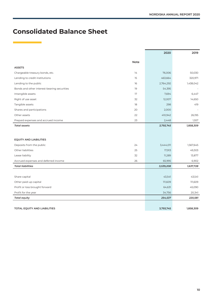# **Consolidated Balance Sheet**

|                                             |             | 2020      | 2019      |
|---------------------------------------------|-------------|-----------|-----------|
|                                             | <b>Note</b> |           |           |
| <b>ASSETS</b>                               |             |           |           |
| Chargeable treasury bonds, etc.             | 14          | 76,006    | 50,030    |
| Lending to credit institutions              | 15          | 463,664   | 320,971   |
| Lending to the public                       | 16          | 2,764,292 | 1,438,042 |
| Bonds and other interest-bearing securities | 19          | 54,395    |           |
| Intangible assets                           | 17          | 7,694     | 6,447     |
| Right of use asset                          | 32          | 12,007    | 14,650    |
| Tangible assets                             | 18          | 298       | 419       |
| Shares and participations                   | 20          | 2,000     |           |
| Other assets                                | 22          | 410,942   | 26,195    |
| Prepaid expenses and accrued income         | 23          | 2,448     | 1,557     |
| <b>Total assets</b>                         |             | 3,793,745 | 1,858,309 |
|                                             |             |           |           |
| <b>EQUITY AND LIABILITIES</b>               |             |           |           |
| Deposits from the public                    | 24          | 3,444,011 | 1,567,645 |
| Other liabilities                           | 25          | 17,913    | 49,303    |
| Lease liability                             | 32          | 11,289    | 13,877    |
| Accrued expenses and deferred income        | 26          | 65,995    | 6,902     |
| <b>Total liabilities</b>                    |             | 3,539,208 | 1,637,728 |
|                                             |             |           |           |
| Share capital                               |             | 43,541    | 43,541    |
| Other paid-up capital                       |             | 111,609   | 111,609   |
| Profit or loss brought forward              |             | 64,631    | 45,090    |
| Profit for the year                         |             | 34,756    | 20,341    |
| <b>Total equity</b>                         |             | 254,537   | 220,581   |
|                                             |             |           |           |
| TOTAL EQUITY AND LIABILITIES                |             | 3,793,745 | 1,858,309 |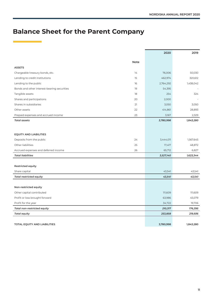# **Balance Sheet for the Parent Company**

|                                             |             | 2020      | 2019      |
|---------------------------------------------|-------------|-----------|-----------|
|                                             | <b>Note</b> |           |           |
| <b>ASSETS</b>                               |             |           |           |
| Chargeable treasury bonds, etc.             | 14          | 76,006    | 50,030    |
| Lending to credit institutions              | 15          | 462,974   | 320,612   |
| Lending to the public                       | 16          | 2,764,292 | 1,438,042 |
| Bonds and other interest-bearing securities | 19          | 54,395    |           |
| Tangible assets                             | 18          | 254       | 324       |
| Shares and participations                   | 20          | 2,000     |           |
| Shares in subsidiaries                      | 21          | 3,050     | 3,050     |
| Other assets                                | 22          | 414,861   | 28,893    |
| Prepaid expenses and accrued income         | 23          | 3,167     | 2,329     |
| <b>Total assets</b>                         |             | 3,780,998 | 1,843,280 |
|                                             |             |           |           |
|                                             |             |           |           |
| <b>EQUITY AND LIABILITIES</b>               |             |           |           |
| Deposits from the public                    | 24          | 3,444,011 | 1,567,645 |
| Other liabilities                           | 25          | 17,417    | 48,872    |
| Accrued expenses and deferred income        | 26          | 65,712    | 6,827     |
| <b>Total liabilities</b>                    |             | 3,527,140 | 1,623,344 |
|                                             |             |           |           |
| <b>Restricted equity</b>                    |             |           |           |
| Share capital                               |             | 43,541    | 43,541    |
| <b>Total restricted equity</b>              |             | 43,541    | 43,541    |
|                                             |             |           |           |
| Non-restricted equity                       |             |           |           |
| Other capital contributed                   |             | 111,609   | 111,609   |
| Profit or loss brought forward              |             | 63,986    | 45,079    |
| Profit for the year                         |             | 34,722    | 19,706    |
| Total non-restricted equity                 |             | 210,317   | 176,395   |
| <b>Total equity</b>                         |             | 253,858   | 219,936   |
|                                             |             |           |           |
| TOTAL EQUITY AND LIABILITIES                |             | 3,780,998 | 1,843,280 |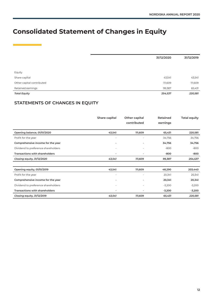# **Consolidated Statement of Changes in Equity**

|                           | 31/12/2020 | 31/12/2019 |
|---------------------------|------------|------------|
|                           |            |            |
|                           |            |            |
| Equity                    |            |            |
| Share capital             | 43,541     | 43,541     |
| Other capital contributed | 111,609    | 111,609    |
| Retained earnings         | 99,387     | 65,431     |
| <b>Total Equity</b>       | 254,537    | 220,581    |

# **STATEMENTS OF CHANGES IN EQUITY**

|                                       | Share capital            | Other capital<br>contributed | Retained<br>earnings | <b>Total equity</b> |
|---------------------------------------|--------------------------|------------------------------|----------------------|---------------------|
| Opening balance, 01/01/2020           | 43,541                   | 111,609                      | 65,431               | 220,581             |
| Profit for the year                   | $\overline{\phantom{a}}$ |                              | 34,756               | 34,756              |
| Comprehensive income for the year     | $\overline{\phantom{a}}$ |                              | 34,756               | 34,756              |
| Dividend to preference shareholders   |                          |                              | $-800$               | -800                |
| Transactions with shareholders        | ٠                        |                              | -800                 | -800                |
| Closing equity, 31/12/2020            | 43,541                   | 111,609                      | 99,387               | 254,537             |
|                                       |                          |                              |                      |                     |
| Opening equity, 01/01/2019            | 43,541                   | 111,609                      | 48,290               | 203,440             |
| Profit for the year                   | ٠                        |                              | 20,341               | 20,341              |
| Comprehensive income for the year     |                          | ۰                            | 20,341               | 20,341              |
| Dividend to preference shareholders   | ٠                        |                              | $-3,200$             | $-3,200$            |
| <b>Transactions with shareholders</b> | ٠                        |                              | $-3,200$             | $-3,200$            |
| Closing equity, 31/12/2019            | 43,541                   | 111,609                      | 65,431               | 220,581             |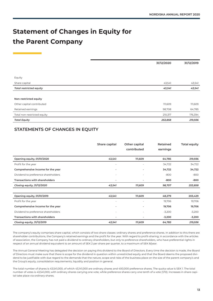# **Statement of Changes in Equity for the Parent Company**

|                                | 31/12/2020 | 31/12/2019 |
|--------------------------------|------------|------------|
|                                |            |            |
| Equity                         |            |            |
| Share capital                  | 43,541     | 43,541     |
| <b>Total restricted equity</b> | 43,541     | 43,541     |
|                                |            |            |
| Non-restricted equity          |            |            |
| Other capital contributed      | 111,609    | 111,609    |
| Retained earnings              | 98,708     | 64,785     |
| Total non-restricted equity    | 210,317    | 176,394    |
| <b>Total Equity</b>            | 253,858    | 219,936    |

# **STATEMENTS OF CHANGES IN EQUITY**

|                                     | Share capital            | Other capital | Retained | <b>Total equity</b> |
|-------------------------------------|--------------------------|---------------|----------|---------------------|
|                                     |                          | contributed   | earnings |                     |
| Opening equity, 01/01/2020          | 43,541                   | 111,609       | 64,785   | 219,936             |
| Profit for the year                 | $\sim$                   |               | 34,722   | 34,722              |
| Comprehensive income for the year   |                          |               | 34,722   | 34,722              |
| Dividend to preference shareholders |                          |               | $-800$   | $-800$              |
| Transactions with shareholders      | ٠                        | ۰             | -800     | -800                |
| Closing equity, 31/12/2020          | 43,541                   | 111,609       | 98,707   | 253,858             |
|                                     |                          |               |          |                     |
| Opening equity, 01/01/2019          | 43,541                   | 111,609       | 48,279   | 203,429             |
| Profit for the year                 |                          |               | 19,706   | 19,706              |
| Comprehensive income for the year   | $\overline{\phantom{a}}$ | ٠             | 19,706   | 19,706              |
| Dividend to preference shareholders |                          |               | $-3,200$ | $-3,200$            |
| Transactions with shareholders      |                          |               | $-3,200$ | $-3,200$            |
| Closing equity, 31/12/2019          | 43,541                   | 111,609       | 64,785   | 219,936             |

The company's equity comprises share capital, which consists of two share classes: ordinary shares and preference shares. In addition to this there are shareholder contributions, the Company's retained earnings and the profit for the year. With regard to profit-sharing, in accordance with the articles of association, the Company has not paid a dividend to ordinary shareholders, but only to preference shareholders, who have preferential rights in respect of an annual dividend equivalent to an amount of SEK 2 per share per quarter, to a maximum of SEK 8/year.

The Annual General Meeting has delegated the decision on paying this dividend to the Board of Directors. Every time the decision is made, the Board of Directors must make sure that there is scope for the dividend in question within unrestricted equity and that the Board deems the proposed dividend to be justifiable with due regard to the demands that the nature, scope and risks of the business place on the size of the parent company's and the Group's equity, consolidation requirements, liquidity and position in general.

The total number of shares is 43,541,000, of which 43,141,000 are ordinary shares and 400,000 preference shares. The quota value is SEK 1. The total number of votes is 43,541,000, with ordinary shares carrying one vote, while preference shares carry one tenth of a vote (1/10). Increases in share capital take place via ordinary shares.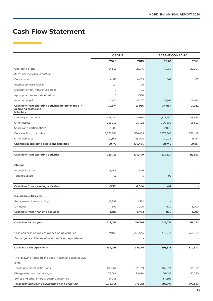# **Cash Flow Statement**

|                                                                                             | <b>GROUP</b>      |                    |              | PARENT COMPANY |  |
|---------------------------------------------------------------------------------------------|-------------------|--------------------|--------------|----------------|--|
|                                                                                             | 2020              | 2019               | 2020         | 2019           |  |
| Operating profit                                                                            | 44,555            | 25,816             | 44,508       | 25,007         |  |
| Items not included in cash flow:                                                            |                   |                    |              |                |  |
| Depreciation                                                                                | 4,817             | 4,035              | 162          | 157            |  |
| Interest on lease liability                                                                 | $-221$            | $-26$              |              |                |  |
| Discount effect, right of use asset                                                         | $\circ$           | $-73$              |              |                |  |
| Appropriations, excl. deferred tax                                                          | 0                 | -590               |              |                |  |
| Income tax paid                                                                             | $-2,401$          | $-5,207$           | $-2,392$     | $-5,033$       |  |
| Cash flow from operating activities before change in<br>operating assets and<br>liabilities | 39,574            | 23,956             | 34,884       | 20,132         |  |
| Lending to the public                                                                       | $-1,326,250$      | $-145,954$         | $-1,326,250$ | $-145,954$     |  |
| Other assets                                                                                | -385,639          | $-25,422$          | $-386,806$   | $-25,503$      |  |
| Shares and participations                                                                   | $-2,000$          |                    | $-2,000$     |                |  |
| Deposits from the public                                                                    | 1,876,366         | 336,865            | 1,876,366    | 336,498        |  |
| Other liabilities                                                                           | 20,306            | $-65,005$          | 20,036       | $-65,181$      |  |
| Changes in operating assets and liabilities                                                 | 190,179           | 100,484            | 188,740      | 99,861         |  |
|                                                                                             |                   |                    |              |                |  |
| Cash flow from operating activities                                                         | 229,753           | 124,440            | 223,624      | 119,993        |  |
| Change<br>Intangible assets<br>Tangible assets                                              | $-3,209$<br>$-92$ | $-2,191$<br>$-113$ | $-92$        |                |  |
| Cash flow from investing activities                                                         | $-3,301$          | $-2,304$           | $-92$        |                |  |
|                                                                                             |                   |                    |              |                |  |
| Issued securities, etc.                                                                     |                   |                    |              |                |  |
| Repayment of lease liability                                                                | $-2,589$          | $-2,582$           |              |                |  |
| Dividend                                                                                    | $-800$            | $-3,200$           | $-800$       | $-3,200$       |  |
| Cash flow from financing activities                                                         | -3,389            | -5,782             | -800         | -3,200         |  |
|                                                                                             |                   |                    |              |                |  |
| Cash flow for the year                                                                      | 223,063           | 116,356            | 222,732      | 116,793        |  |
|                                                                                             |                   |                    |              |                |  |
| Cash and cash equivalents at beginning of period                                            | 371,001           | 254,645            | 370,643      | 253,849        |  |
| Exchange rate difference in cash and cash equivalents                                       |                   |                    |              |                |  |
|                                                                                             |                   |                    |              |                |  |
| Cash and cash equivalents                                                                   | 594,065           | 371,001            | 593,375      | 370,643        |  |
| The following items are included in cash and cash equiva-<br>lents:                         |                   |                    |              |                |  |
| Lending to credit institutions                                                              | 463,664           | 320,971            | 462,974      | 320,612        |  |
| Chargeable treasury bonds, etc.                                                             | 76,006            | 50,030             | 76,006       | 50,030         |  |
| Bonds and other interest-bearing securities                                                 | 54,395            |                    | 54,395       |                |  |
| Total cash and cash equivalents at end of period                                            | 594,065           | 371,001            | 593,375      | 370,643        |  |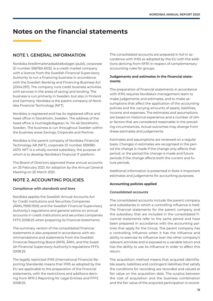# **Notes on the financial statements**

# **NOTE 1. GENERAL INFORMATION**

Nordiska Kreditmarknadsaktiebolaget (publ), corporate ID number 556760-6032, is a credit market company with a licence from the Swedish Financial Supervisory Authority to run a financing business in accordance with the Swedish Banking and Financing Business Act (2004:297). The company runs credit business activities with services in the areas of saving and lending. The business is run primarily in Sweden, but also in Finland and Germany. Nordiska is the parent company of Nordiska Financial Technology (NFT).

Nordiska is registered and has its registered office and head office in Stockholm, Sweden. The address of the head office is Humlegårdsgatan 14, 114 46 Stockholm, Sweden. The business is run throughout Sweden within the business areas Savings, Corporate and Partner.

Nordiska is the parent company of Nordiska Financial Technology AB (NFT), corporate ID number 559080- 4570. NFT is a wholly owned subsidiary, the purpose of which is to develop Nordiska's financial IT platform.

The Board of Directors approved these annual accounts on 25 February 2021, for adoption by the Annual General Meeting on 25 March 2021.

# **NOTE 2. ACCOUNTING POLICIES**

#### *Compliance with standards and laws*

Nordiska applies the Swedish Annual Accounts Act for Credit Institutions and Securities Companies (ÅRKL/1995:1559) and the Swedish Financial Supervisory Authority's regulations and general advice on annual accounts in credit institutions and securities companies FFFS 2008:25 when preparing its financial statements.

The summary version of the consolidated financial statements is also prepared in accordance with recommendations and statements from the Swedish Financial Reporting Board (RFR), ÅRKL and the Swedish Financial Supervisory Authority's regulations FFFS 2008:25.

The legally restricted IFRS (International Financial Reporting Standards) means that IFRS as adopted by the EU are applicable to the preparation of the financial statements, with the restrictions and additions deriving from RFR 2 Reporting for Legal Entities and FFFS 2008:25.

The consolidated accounts are prepared in full in accordance with IFRS as adopted by the EU with the additions deriving from RFR1 in respect of complementary accounting rules for groups.

#### **Judgements and estimates in the financial statements**

The preparation of financial statements in accordance with IFRS requires Nordiska's management team to make judgements and estimates, and to make assumptions that affect the application of the accounting policies and the carrying amounts of assets, liabilities, income and expenses. The estimates and assumptions are based on historical experience and a number of other factors that are considered reasonable in the prevailing circumstances. Actual outcomes may diverge from these estimates and judgements.

Estimates and assumptions are reviewed on a regular basis. Changes in estimates are recognised in the period the change is made if the change only affects that period, or the period the change is made and future periods if the change affects both the current and future periods.

Additional information is presented in Note 4 Important estimates and judgements for accounting purposes.

#### **Accounting policies applied**

#### *Consolidated accounts*

The consolidated accounts include the parent company and subsidiaries in which a controlling influence is held. The financial statements for the parent company and the subsidiary that are included in the consolidated financial statements refer to the same period and have been prepared in accordance with the accounting policies that apply for the Group. The parent company has a controlling influence when it has the influence and ability to exercise its influence over the other company's relevant activities and is exposed to a variable return and has the ability to use its influence in order to affect this return.

The acquisition method means that acquired identifiable assets, liabilities and contingent liabilities that satisfy the conditions for recording are recorded and valued at fair value on the acquisition date. The surplus between the cost of acquisition and the business combination and the fair value of the acquired participation is record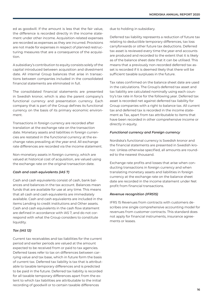ed as goodwill. If the amount is less that the fair value, the difference is recorded directly in the income statement under other income. Acquisition-related expenses are recorded as expenses as they are incurred. Provisions are not made for expenses in respect of planned restructuring measures that are a consequence of the acquisition.

A subsidiary's contribution to equity consists solely of the capital introduced between acquisition and divestment date. All internal Group balances that arise in transactions between companies included in the consolidated financial statements are eliminated in full.

The consolidated financial statements are presented in Swedish kronor, which is also the parent company's functional currency and presentation currency. Each company that is part of the Group defines its functional currency on the basis of its primary economic environment.

Transactions in foreign currency are recorded after translation at the exchange rate on the transaction date. Monetary assets and liabilities in foreign currencies are restated in the functional currency at the exchange rates prevailing at the year-end. All exchange rate differences are recorded via the income statement.

Non-monetary assets in foreign currency, which are valued at historical cost of acquisition, are valued using the exchange rate on the original transaction date.

#### *Cash and cash equivalents (IAS 7)*

Cash and cash equivalents consist of cash, bank balances and balances in the tax account. Balances mean funds that are available for use at any time. This means that all cash and cash equivalents are immediately available. Cash and cash equivalents are included in the items Lending to credit institutions and Other assets. Cash and cash equivalents in the cash flow statement are defined in accordance with IAS 7, and do not correspond with what the Group considers to constitute liquidity.

#### *Tax (IAS 12)*

Current tax receivables and tax liabilities for the current period and earlier periods are valued at the amount expected to be received from or paid to tax agencies. Deferred taxes refer to tax on differences between carrying value and tax base, which in future form the basis of current tax. Deferred tax liability is tax that is attributable to taxable temporary differences and is predicted to be paid in the future. Deferred tax liability is recorded for all taxable temporary differences apart from the extent to which tax liabilities are attributable to the initial recording of goodwill or to certain taxable differences

due to holding in subsidiary.

Deferred tax liability represents a reduction of future tax relating to deductible temporary differences, tax loss carryforwards or other future tax deductions. Deferred tax asset is reviewed every time the year-end accounts are produced and recorded to the extent that it is likely as of the balance sheet date that it can be utilised. This means that a previously non-recorded deferred tax asset is recorded if it is deemed likely that there will be sufficient taxable surpluses in the future.

Tax rates confirmed on the balance sheet date are used in the calculations. The Group's deferred tax asset and tax liability are calculated nominally using each country's tax rate in force for the following year. Deferred tax asset is recorded net against deferred tax liability for Group companies with a right to balance tax. All current tax and deferred tax is recorded in the income statement as Tax, apart from tax attributable to items that have been recorded in other comprehensive income or directly in equity.

#### *Functional currency and Foreign currency*

Nordiska's functional currency is Swedish kronor and the financial statements are presented in Swedish kronor. Unless otherwise specified, all amounts are rounded to the nearest thousand.

Exchange rate profits and losses that arise when conducting transactions in foreign currency and when translating monetary assets and liabilities in foreign currency at the exchange rate on the balance sheet date are recorded in the income statement under Net profit from financial transactions.

#### *Revenue recognition (IFRS15)*

IFRS 15 Revenues from contracts with customers describes one single comprehensive accounting model for revenues from customer contracts. This standard does not apply for financial instruments, insurance agreements or leases.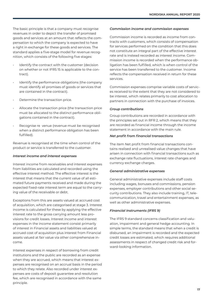The basic principle is that a company must recognise revenues in order to depict the transfer of promised goods and services at an amount that reflects the compensation to which the company is expected to have a right in exchange for these goods and services. The standard applies a five-stage model for revenue recognition, which consists of the following five stages:

- Identify the contract with the customer (decision on whether or not IFRS 15 is applicable to the contract).
- Identify the performance obligations (the company must identify all promises of goods or services that are contained in the contract).
- Determine the transaction price.
- Allocate the transaction price (the transaction price must be allocated to the distinct performance obligations contained in the contract).
- Recognise re venue (revenue must be recognised when a distinct performance obligation has been fulfilled).

Revenue is recognised at the time when control of the product or service is transferred to the customer.

#### *Interest income and interest expenses*

Interest income from receivables and interest expenses from liabilities are calculated and recorded using the effective interest method. The effective interest is the interest that means that the current value of all estimated future payments received and made during the expected fixed-rate interest term are equal to the carrying value of the receivable or debt.

Exceptions from this are assets valued at accrued cost of acquisition, which are categorised at stage 3. Interest income is calculated for these by applying the effective interest rate to the gross carrying amount less provisions for credit losses. Interest income and interest expenses in the income statement consist primarily of interest in Financial assets and liabilities valued at accrued cost of acquisition plus interest from Financial assets valued at fair value via other comprehensive income.

Interest expenses in respect of borrowing from credit institutions and the public are recorded as an expense when they are accrued, which means that interest expenses are recognised on an accrual basis in the period to which they relate. Also recorded under interest expenses are costs of deposit guarantee and resolution fee, which are recognised in accordance with the same principle.

#### *Commission income and commission expenses*

Commission income is recorded as income from contracts with customers, which consists of compensation for services performed on the condition that this does not constitute an integral part of the effective interest rate and is instead recorded as interest income. Commission income is recorded when the performance obligation has been fulfilled, which is when control of the service has been transferred to the customer. Income reflects the compensation received in return for these services.

Commission expenses comprise variable costs of services received to the extent that they are not considered to be interest, which relates primarily to cost allocation to partners in connection with the purchase of invoices.

#### *Group contributions*

Group contributions are recorded in accordance with the principles set out in RFR 2, which means that they are recorded as financial income through the income statement in accordance with the main rule.

#### *Net profit from financial transactions*

The item Net profit from financial transactions contains realised and unrealised value changes that have arisen in connection with financial transactions such as exchange rate fluctuations, interest rate changes and currency exchange charges.

#### *General administrative expenses*

General administrative expenses include staff costs including wages, bonuses and commissions, pension expenses, employer contributions and other social security contributions. They also include training, IT, telecommunication, travel and entertainment expenses, as well as other administrative expenses.

#### *Financial Instruments (IFRS 9)*

The IFRS 9 standard concerns classification and valuation, impairment and general hedge accounting. In simple terms, the standard means that when a credit is disbursed, an impairment is recorded and the expected credit losses are estimated, which requires additional assessments in respect of changed credit risk and forward-looking information.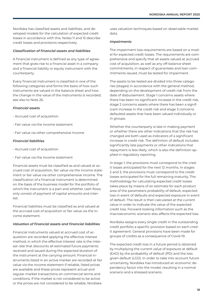Nordiska has classified assets and liabilities, and developed models for the calculation of expected credit losses in accordance with this. Notes 11 and 15 describe credit losses and provisions respectively.

#### *Classification of financial assets and liabilities*

A financial instrument is defined as any type of agreement that gives rise to a financial asset in a company and a financial liability or equity instrument with the counterparty.

Every financial instrument is classified in one of the following categories and forms the basis of how such instruments are valued in the balance sheet and how the change in the value of the instruments is recorded; see also to Note 26.

#### *Financial assets*

- Accrued cost of acquisition
- Fair value via the income statement
- Fair value via other comprehensive income

#### *Financial liabilities*

- Accrued cost of acquisition
- Fair value via the income statement

Financial assets must be classified as and valued at accrued cost of acquisition, fair value via the income statement or fair value via other comprehensive income. The classification of a financial instrument is determined on the basis of the business model for the portfolio of which the instrument is a part and whether cash flows only consist of payment of capital amounts and interest.

Financial liabilities must be classified as and valued at the accrued cost of acquisition or fair value via the income statement.

#### *Valuation of financial assets and financial liabilities*

Financial instruments valued at accrued cost of acquisition are recorded applying the effective interest method, in which the effective interest rate is the interest rate that discounts all estimated future payments received and issued during the expected duration of the instrument at the carrying amount. Financial instruments listed in an active market are recorded at fair value via the income statement if reliable, listed prices are available and these prices represent actual and regular market transactions on commercial terms and conditions. If the market is not considered to be active or the prices are not considered to be reliable, Nordiska

uses valuation techniques based on observable market data.

#### *Impairments*

The impairment loss requirements are based on a model for expected credit losses. The requirements are comprehensive and specify that all assets valued at accrued cost of acquisition, as well as any off-balance sheet commitments, in respect of guarantees and loan commitments issued, must be tested for impairment.

The assets to be tested are divided into three categories (stages) in accordance with the general method, depending on the development of credit risk from the date of disbursement. Stage 1 concerns assets where there has been no significant increase in the credit risk, stage 2 concerns assets where there has been a significant increase in the credit risk and stage 3 concerns defaulted assets that have been valued individually or in groups.

Whether the counterparty is late in making payment or whether there are other indications that the risk has changed are both used as indicators of a significant increase in credit risk. The definition of default includes significantly late payments or other indications that repayment is less likely, which is also the definition applied in regulatory reporting.

In stage 1, the provisions must correspond to the credit losses anticipated for the next 12 months. In stages 2 and 3, the provisions must correspond to the credit losses anticipated for the full remaining maturity. The methodology for calculating expected credit losses takes place by means of an estimate for each product area of the parameters probability of default, expected loss in event of defaults and expected exposure in event of default. The result is then calculated at the current value in order to indicate the value of the expected credit loss. Forward-looking information such as the macroeconomic scenario also affects the expected loss.

Nordiska assigns every single credit in the outstanding credit portfolio a specific provision based on each credit agreement. General provisions have been made for groups of credits as a consequence of Covid-19.

The expected credit loss in a future period is obtained by multiplying the current value of exposure at default (EAD) by the probability of default (PD) and the loss given default (LGD). In order to take into account future uncertainty, Nordiska has introduced an economic dependency factor into the model, resulting in a normal scenario and a stressed scenario.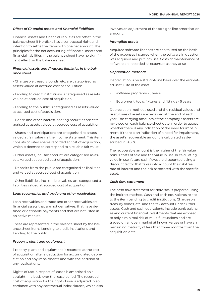#### *Offset of financial assets and financial liabilities*

Financial assets and financial liabilities are offset in the balance sheet if Nordiska has a contractual right and intention to settle the items with one net amount. The principles for the net accounting of financial assets and financial liabilities in the balance sheet have no significant effect on the balance sheet.

#### *Financial assets and financial liabilities in the balance sheet*

- Chargeable treasury bonds, etc. are categorised as assets valued at accrued cost of acquisition.

- Lending to credit institutions is categorised as assets valued at accrued cost of acquisition.

- Lending to the public is categorised as assets valued at accrued cost of acquisition.

- Bonds and other interest-bearing securities are categorised as assets valued at accrued cost of acquisition.

- Shares and participations are categorised as assets valued at fair value via the income statement. This item consists of listed shares recorded at cost of acquisition, which is deemed to correspond to a reliable fair value.

- Other assets, incl. tax account, are categorised as assets valued at accrued cost of acquisition.

- Deposits from the public are categorised as liabilities and valued at accrued cost of acquisition.

- Other liabilities, incl. trade payables, are categorised as liabilities valued at accrued cost of acquisition.

#### *Loan receivables and trade and other receivables*

Loan receivables and trade and other receivables are financial assets that are not derivatives, that have defined or definable payments and that are not listed in an active market.

These are represented in the balance sheet by the balance sheet items Lending to credit institutions and Lending to the public.

#### *Property, plant and equipment*

Property, plant and equipment is recorded at the cost of acquisition after a deduction for accumulated depreciation and any impairments and with the addition of any revaluations.

Rights of use in respect of leases is amortised on a straight-line basis over the lease period. The recorded cost of acquisition for the right of use is adjusted in accordance with any contractual index clauses, which also involves an adjustment of the straight-line amortisation amount.

#### *Intangible assets*

Acquired software licences are capitalised on the basis of the expenses incurred when the software in question was acquired and put into use. Costs of maintenance of software are recorded as expenses as they arise.

#### *Deprecation methods*

Depreciation is on a straight-line basis over the estimated useful life of the asset.

- software programs 5 years
- Equipment, tools, fixtures and fittings 5 years

Depreciation methods used and the residual values and useful lives of assets are reviewed at the end of each year. The carrying amounts of the company's assets are reviewed on each balance sheet date in order to assess whether there is any indication of the need for impairment. If there is an indication of a need for impairment, the asset's recoverable amount is calculated as described in IAS 36.

The recoverable amount is the higher of the fair value minus costs of sale and the value in use. In calculating value in use, future cash flows are discounted using a discount factor that takes into account the risk-free rate of interest and the risk associated with the specific asset.

#### *Cash flow statement*

The cash flow statement for Nordiska is prepared using the indirect method. Cash and cash equivalents relate to the item Lending to credit institutions, Chargeable treasury bonds, etc, and the tax account under Other assets. Cash and cash equivalents include bank balances and current financial investments that are exposed to only a minimal risk of value fluctuations and are traded on an open market at known values or have an remaining maturity of less than three months from the acquisition date.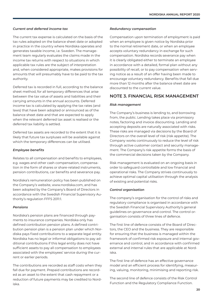#### *Current and deferred income tax*

The current tax expense is calculated on the basis of the tax rules adopted on the balance sheet date or adopted in practice in the country where Nordiska operates and generates taxable income, i.e. Sweden. The management team regularly evaluates the claims made in the income tax returns with respect to situations in which applicable tax rules are the subject of interpretation and, when considered appropriate, makes provisions for amounts that will presumably have to be paid to the tax authority.

Deferred tax is recorded in full, according to the balance sheet method, for all temporary differences that arise between the tax value of assets and liabilities and their carrying amounts in the annual accounts. Deferred income tax is calculated by applying the tax rates (and laws) that have been adopted or announced as of the balance sheet date and that are expected to apply when the relevant deferred tax asset is realised or the deferred tax liability is settled.

Deferred tax assets are recorded to the extent that it is likely that future tax surpluses will be available against which the temporary differences can be utilised.

#### *Employee benefits*

Relates to all compensation and benefits to employees, e.g. wages and other cash compensation, compensation in the form of shares or share-related instruments, pension contributions, car benefits and severance pay.

Nordiska's remuneration policy has been published on the Company's website, www.nordiska.com, and has been adopted by the Company's Board of Directors in accordance with the Swedish Financial Supervisory Authority's regulation FFFS 2011:1.

#### *Pensions*

Nordiska's pension plans are financed through payments to insurance companies. Nordiska only has defined contribution pension plans. A defined contribution pension plan is a pension plan under which Nordiska pays fixed contributions to a separate legal entity. Nordiska has no legal or informal obligations to pay additional contributions if this legal entity does not have sufficient assets to pay all compensation to employees associated with the employees' service during the current or earlier periods.

The contributions are recorded as staff costs when they fall due for payment. Prepaid contributions are recorded as an asset to the extent that cash repayment or a reduction of future payments may be credited to Nordiska.

#### *Redundancy compensation*

Compensation upon termination of employment is paid when an employee is given notice by Nordiska prior to the normal retirement date, or when an employee accepts voluntary redundancy in exchange for such compensation. Nordiska records severance pay when it is clearly obligated either to terminate an employee in accordance with a detailed, formal plan without any possibility of recall, or to pay compensation when serving notice as a result of an offer having been made to encourage voluntary redundancy. Benefits that fall due more than 12 months after the balance sheet date are discounted to the current value.

### **NOTE 3. FINANCIAL RISK MANAGEMENT**

#### *Risk management*

The Company's business is lending to, and borrowing from, the public. Lending takes place via promissory notes, factoring and invoice discounting. Lending and accepting deposits are naturally associated with risks. These risks are managed via decisions by the Board of Directors on the overall level of risk (risk appetite). The Company works continuously to reduce the level of risk through active customer contact and security management. The Company's risk appetite forms the basis of the commercial decisions taken by the Company.

Risk management is evaluated on an ongoing basis in order to safeguard controllable and low financial and operational risks. The Company strives continuously to achieve optimal capital utilisation through the analysis of existing and potential risks.

#### *Control organisation*

The company's organisation for the control of risks and regulatory compliance is organised in accordance with the Swedish Financial Supervisory Authority's general guidelines on governance and control. The control organisation consists of three lines of defence.

The first line of defence consists of the Board of Directors, the CEO and the business. They are responsible for ensuring that the business is managed within the framework of confirmed risk exposure and internal governance and control, and in accordance with confirmed external and internal rules that are applicable at Nordiska.

The first line of defence has an effective governance model and an efficient process for identifying, measuring, valuing, monitoring, minimising and reporting risk.

The second line of defence consists of the Risk Control Function and the Regulatory Compliance Function.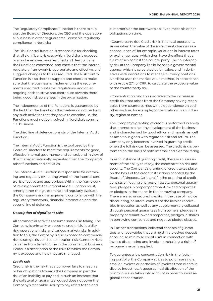The Regulatory Compliance Function is there to support the Board of Directors, the CEO and the operational business in order to guarantee licensable regulatory compliance in Nordiska.

The Risk Control function is responsible for checking that all significant risks to which Nordiska is exposed or may be exposed are identified and dealt with by the Functions concerned, and checks that the internal regulatory framework is appropriate and effective, and suggests changes to this as required. The Risk Control Function is also there to support and check to make sure that the business is implementing the requirements specified in external regulations, and on an ongoing basis to strive and contribute towards there being good risk awareness in the organisation.

The independence of the Functions is guaranteed by the fact that the Functions themselves do not perform any such activities that they have to examine, i.e. the Functions must not be involved in Nordiska's commercial business.

The third line of defence consists of the Internal Audit Function.

The Internal Audit Function is the tool used by the Board of Directors to meet the requirements for good, effective internal governance and control, and in view of this it is organisationally separated from the Company's other functions and activities.

The Internal Audit Function is responsible for examining and regularly evaluating whether the internal control is effective and appropriate. Within the framework of its assignment, the Internal Audit Function must, among other things, examine and regularly evaluate the Company's risk management, compliance with the regulatory framework, financial information and the second line of defence.

#### *Description of significant risks*

All commercial activities assume some risk-taking. The Company is primarily exposed to credit risk, liquidity risk, operational risks and various market risks. In addition to this, the Company is also exposed to commercial risk, strategic risk and concentration risk. Currency risks can arise from time to time in the commercial business. Below is a description of the risks to which the Company is exposed and how they are managed.

#### *Credit risk*

Credit risk is the risk that a borrower fails to meet his or her obligations towards the Company, in part the risk of an inability to pay and in such an instance that the collateral or guarantee lodged does not cover the Company's receivable. Ability to pay refers to the end

customer's or the borrower's ability to meet his or her obligations on time.

• Counterparty risk: Credit risk in financial operations. Arises when the value of the instrument changes as a consequence of, for example, variations in interest rates or exchange rates, which then have the effect that a claim arises against the counterparty. The counterparty risk at the Company lies in loans to a governmental agency, which is calculated at fair value, and in derivatives with institutions to manage currency positions. Nordiska uses the market value method, in accordance with Article 274 of CRR, to calculate the exposure value of the counterparty risk.

• Concentration risk: This risk refers to the increase in credit risk that arises from the Company having receivables from counterparties with a dependence on each other such as, for example, concentrations in an industry, region or names.

The Company's granting of credit is performed in a way that promotes a healthy development of the business and is characterised by good ethics and morals, as well as ambitious goals with regard to risk and return. The Company only becomes involved in granting credit when the full risk can be assessed. The credit risk is performed on the basis of both internal and external rating.

In each instance of granting credit, there is an assessment of the ability to repay, the concentration risk and security. The Company's granting of credit takes place on the basis of the credit instructions adopted by the Board of Directors. Collateral for the granting of credit consists of floating charges on assets, personal guarantees, pledges in property or tenant-owned properties or pledges in the shares in the borrowing company. There are also unsecured credits. In the case of invoice discounting, collateral consists of the invoice receivables in question as well as any supplementary collateral through personal guarantees from owners, pledges in property or tenant-owned properties, pledges in shares in borrowing companies and negative pledge clauses.

In Partner transactions, collateral consists of guarantees and receivables that are held in a blocked deposit account. To minimise credit risks in connection with invoice discounting and invoice purchasing, a right of recourse is usually applied.

To guarantee a low concentration risk in the factoring portfolio, the Company strives to purchase single, smaller invoices or portfolios of invoices from clients in diverse industries. A geographical distribution of the portfolio is also taken into account in order to avoid regional concentration.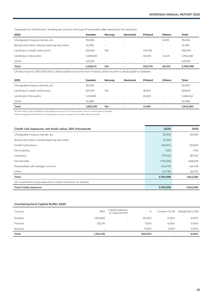Geographical distribution, lending per country and type of receivable after deduction for provision

| 2020                                        | Sweden    | <b>Norway</b> | <b>Denmark</b> | <b>Finland</b> | <b>Others</b> | Total     |
|---------------------------------------------|-----------|---------------|----------------|----------------|---------------|-----------|
| Chargeable treasury bonds, etc.             | 70.006    |               | $\sim$         | $\sim$         | 6,000         | 76,006    |
| Bonds and other interest-bearing securities | 54,395    | $\sim$        | $\sim$         | ۰              | ۰             | 54,395    |
| Lending to credit institutions              | 292,051   | 164           |                | 170.759        | ۰             | 462,974   |
| Lending to the public                       | 2,418,628 | $\sim$        | $\sim$         | 331.515        | 14.149        | 2,764,292 |
| Other                                       | 423.331   |               | $\sim$         | ۰              | $\sim$        | 423,331   |
| Total                                       | 3,258,411 | 164           |                | 502.274        | 20.149        | 3,780,998 |

Of total income, SEK 9,491,000 is attributable to income from Finland, other income is attributable to Sweden.

| 2019                            | Sweden    | Norway | <b>Denmark</b> | <b>Finland</b> | <b>Others</b> | <b>Total</b> |
|---------------------------------|-----------|--------|----------------|----------------|---------------|--------------|
| Chargeable treasury bonds, etc. | 50.030    | $\sim$ | $\sim$         | $\sim$         |               | 50,030       |
| Lending to credit institutions  | 301,570   | 164    |                | 18,873         |               | 320,612      |
| Lending to the public           | 1,415,839 | ۰.     |                | 22.203         |               | 1,438,042    |
| Other                           | 34.596    | $\sim$ | $\sim$         |                |               | 34,596       |
| Total                           | 1,802,035 | 164    |                | 41.081         |               | 1,843,280    |

Of total income, SEK 6,206,000 is attributable to income from Finland, other income is attributable to Sweden.

*Tables: Geographical distribution of lending per country and type of receivable, SEK thousands.*

| Credit risk exposure, net book value, SEK thousands            | 2020      | 2019      |
|----------------------------------------------------------------|-----------|-----------|
| Chargeable treasury bonds, etc.                                | 76,006    | 50,030    |
| Bonds and other interest-bearing securities                    | 54,395    |           |
| Credit institutions                                            | 462,974   | 320,612   |
| Municipality                                                   | 1,563     | 1,156     |
| Company                                                        | 370,163   | 357,021   |
| Households                                                     | 1,753,369 | 628,209   |
| Receivables with pledge in home                                | 640,759   | 424,176   |
| Other                                                          | 421,769   | 62,075    |
| Total                                                          | 3,780,998 | 1,843,280 |
| o/n investment (receivable from credit institution or similar) |           |           |
| <b>Total Credit exposure</b>                                   | 3,780,998 | 1,843,280 |

#### **Countercyclical Capital Buffer 2020**

| Country | <b>REA</b> | Capital adequa-<br>cy requirement | %        | <b>Current CCYB</b>      | Weighted CCYB |
|---------|------------|-----------------------------------|----------|--------------------------|---------------|
| Sweden  | 1,621,890  |                                   | 92.50%   | 0.00%                    | 0.00%         |
| Finland | 132,215    |                                   | 7.50%    | 0.00%                    | 0.00%         |
| Norway  |            | $\sim$                            | $0.00\%$ | 1.00%                    | 0.00%         |
| Total   | 1,754,105  | $\overline{\phantom{a}}$          | 100.00%  | $\overline{\phantom{a}}$ | 0.00%         |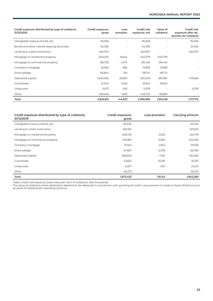| Credit exposure distributed by type of collateral,<br>31/12/2020 | Credit exposure,<br>gross | Loss<br>provision | Credit risk<br>exposure, net | Value of<br>collateral | Credit risk<br>exposure after de-<br>duction for collateral |
|------------------------------------------------------------------|---------------------------|-------------------|------------------------------|------------------------|-------------------------------------------------------------|
| Chargeable treasury bonds, etc.                                  | 76,006                    |                   | 76,006                       |                        | 76,006                                                      |
| Bonds and other interest-bearing securities                      | 54,395                    |                   | 54,395                       |                        | 54,395                                                      |
| Lending to credit institutions                                   | 462,974                   |                   | 462,974                      |                        | 462,974                                                     |
| Mortgage on residential property                                 | 649,403                   | $-8,644$          | 640,759                      | 640,759                |                                                             |
| Mortgage on commercial property                                  | 185,735                   | $-1,274$          | 184,461                      | 184,461                |                                                             |
| Company mortgage                                                 | 20,955                    | $-962$            | 19,993                       | 19,993                 |                                                             |
| Share pledge                                                     | 58,844                    | -130              | 58,714                       | 58,714                 |                                                             |
| Deposited capital                                                | 1,840,050                 | $-28,801$         | 1,811,249                    | 691,987                | 1,119,262                                                   |
| Guarantees                                                       | 21,240                    | $-2,616$          | 18,624                       | 18,624                 |                                                             |
| Unsecured                                                        | 5,673                     | -595              | 5,078                        |                        | 5,078                                                       |
| Other                                                            | 450,546                   | $-1,801$          | 448,745                      | 36,880                 |                                                             |
| Total                                                            | 3,825,821                 | $-44,823$         | 3,780,998                    | 1,651,418              | 1,717,715                                                   |

| Credit exposure distributed by type of collateral,<br>31/12/2019 | Credit exposure,<br>gross | Loss provision           | Carrying amount |
|------------------------------------------------------------------|---------------------------|--------------------------|-----------------|
| Chargeable treasury bonds, etc.                                  | 50,030                    | $\overline{\phantom{a}}$ | 50,030          |
| Lending to credit institutions                                   | 320,612                   | $\overline{\phantom{a}}$ | 320,612         |
| Mortgage on residential property                                 | 426,729                   | $-2,553$                 | 424,176         |
| Mortgage on commercial property                                  | 205,851                   | $-3,590$                 | 202,262         |
| Company mortgage                                                 | 31,942                    | $-2,614$                 | 29,328          |
| Share pledge                                                     | 67,857                    | $-2,078$                 | 65,780          |
| Deposited capital                                                | 658,805                   | $-7,321$                 | 651,484         |
| Guarantees                                                       | 42,652                    | $-10,391$                | 32,261          |
| Unsecured                                                        | 21,671                    | $-597$                   | 21,074          |
| Other                                                            | 46,273                    |                          | 46,273          |
| Total                                                            | 1,872,423                 | $-29,143$                | 1,843,280       |

*Table: Credit risk exposure, book value per item of collateral, SEK thousands*

The value of collateral where obtained is deemed to be adequate in connection with granting of credit. Loss provision is made on basis of factors such as value of collateral per reporting instance.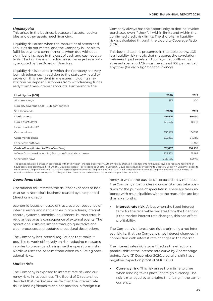#### *Liquidity risk*

This arises in the business because all assets, receivables and other assets need financing.

Liquidity risk arises when the maturities of assets and liabilities do not match, and the Company is unable to fulfil its payment commitments when due without a significant increase in the cost of cash and cash equivalents. The Company's liquidity risk is managed in a policy adopted by the Board of Directors.

Liquidity risk is an area in which the Company has very low risk tolerance. In addition to the statutory liquidity provision, this is evident in measures including a restriction on deposit customers from withdrawing funds early from fixed-interest accounts. Furthermore, the

Company always has the opportunity to decline invoice purchases even if they fall within limits and within the confirmed credit risk limits. The short-term liquidity risk is calculated through the Liquidity Coverage Ratio (LCR).

This key indicator is presented in the table below. LCR is a liquidity risk metric that measures the correlation between liquid assets and 30 days' net outflow in a stressed scenario. LCR must be at least 100 per cent at any time (for each significant currency).

| <b>Liquidity risk (LCR)</b>                               | 2020    | 2019    |
|-----------------------------------------------------------|---------|---------|
| All currencies, %                                         | 153     | 200     |
| Liquidity coverage (LCR) - Sub-components                 |         |         |
| SEK thousands                                             | 2020    | 2019    |
| Liquid assets                                             | 126,525 | 50,030  |
| Liquid assets level 1                                     | 126,525 | 50,030  |
| Liquid assets level 2                                     |         |         |
| Cash outflows                                             | 330,163 | 100,153 |
| Customer deposits                                         | 330,163 | 84,785  |
| Other cash outflows                                       |         | 15,368  |
| Cash inflows (limited to 75% of outflow)                  | 711,837 | 136,588 |
| Inflows from overdue lending from non-financial customers | 505,372 | 11,987  |
| Other cash flows                                          | 206,465 | 152,715 |

The components are defined in accordance with the Swedish Financial Supervisory Authority's regulations on requirements for liquidity coverage ratio and recording of liquid assets and cash flows (FFFS 2012:6). Liquid assets level 1 correspond to Chapter 3 Section 6. Liquid assets level 2 correspond to Chapter 3 Section 7. Customer deposits correspond to Chapter 4 Sections 4-9. Market borrowing corresponds to Chapter 4 Sections 10-13. Other cash flows correspond to Chapter 4 Sections 14-25. Lending to non-financial customers correspond to Chapter 5 Section 4. Other cash flows correspond to Chapter 5 Sections 6-12.

#### *Operational risks*

Operational risk refers to the risk that expenses or losses arise in Nordiska's business caused by unexpected (direct or indirect)

economic losses or losses of trust, as a consequence of internal errors and deficiencies in procedures, internal control, systems, technical equipment, human error, irregularities or as a consequence of external events. The operational risks are limited through qualitative and clear processes and updated procedural descriptions.

The Company has internal regulations that make it possible to work effectively on risk-reducing measures in order to prevent and minimise the operational risks. Nordiska uses the base method when calculating operational risks.

#### *Market risks*

The Company is exposed to interest rate risk and currency risks in its business. The Board of Directors has decided that market risk, aside from the interest rate risk in lending/deposits and net position in foreign currency to which the business is exposed, may not occur. The Company must under no circumstances take positions for the purpose of speculation. There are treasury bonds with municipalities where the maturities are less than six months.

**Interest rate risk:** Arises when the fixed interest term for the receivable deviates from the financing. If the market interest rate changes, this can affect profitability.

The Company's interest rate risk is primarily a net interest risk, i.e. that the Company's net interest changes in connection with interest rate changes in the market.

The interest rate risk is quantified as the effect of a parallel shift of the interest rate curve by 2 percentage points. As of 31 December 2020, a parallel shift has a negative impact on profit of SEK 11,000.

**• Currency risk:** This risk arises from time to time when lending takes place in foreign currency. The risk is managed by arranging financing in the same currency.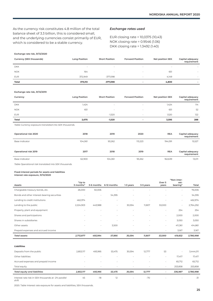**"Non-inter-**

As the currency risk constitutes 4.8 million of the total balance sheet of 3.3 billion, this is considered small, and the underlying currencies consist primarily of EUR, which is considered to be a stable currency.

#### *Exchange rates used*

EUR closing rate = 10,0375 (10,43) NOK closing rate = 0.9546 (1.06) DKK closing rate = 1.3492 (1.40)

**Exchange rate risk, 31/12/2020**

| Currency (SEK thousands) | <b>Long Position</b>     | <b>Short Position</b>    | <b>Forward Position</b> | <b>Net position SEK</b>  | Capital adequacy<br>requirement |
|--------------------------|--------------------------|--------------------------|-------------------------|--------------------------|---------------------------------|
| <b>DKK</b>               | $\overline{\phantom{a}}$ | $\overline{\phantom{a}}$ |                         | $\overline{\phantom{0}}$ | $\overline{\phantom{a}}$        |
| <b>NOK</b>               | 164                      |                          |                         | 651                      | $\overline{\phantom{a}}$        |
| <b>EUR</b>               | 372,949                  | $-377,098$               |                         | 4,149                    | $\,$                            |
| Total                    | 373.113                  | -377.098                 |                         | 4.800                    |                                 |

#### **Exchange rate risk, 31/12/2019**

| Currency     | <b>Long Position</b>     | <b>Short Position</b>    | <b>Forward Position</b>  | <b>Net position SEK</b> | Capital adequacy<br>requirement |
|--------------|--------------------------|--------------------------|--------------------------|-------------------------|---------------------------------|
| <b>DKK</b>   | 1,424                    | $\overline{\phantom{a}}$ | $\overline{\phantom{a}}$ | 1,424                   | 114                             |
| <b>NOK</b>   | 651                      | $\overline{\phantom{a}}$ | $\overline{\phantom{a}}$ | 651                     | 52                              |
| <b>EUR</b>   | $\overline{\phantom{a}}$ | $-1,520$                 | $\overline{\phantom{a}}$ | 1,520                   | 122                             |
| <b>Total</b> | 2,075                    | $-1,520$                 |                          | 3,595                   | 288                             |

*Table Currency exposure translated into SEK thousands.*

| Operational risk 2020 | 2018    | 2019    | 2020    | <b>REA</b> | Capital adequacy<br>requirement |
|-----------------------|---------|---------|---------|------------|---------------------------------|
| Base indicator        | 104,061 | 93,262  | 113,223 | 194,091    | 15,527                          |
| Operational risk 2019 | 2017    | 2018    | 2019    | <b>REA</b> | Capital adequacy<br>requirement |
| Base indicator        | 62,900  | 104,061 | 93,262  | 162,639    | 13,011                          |

*Table Operational risk translated into SEK thousands.*

#### **Fixed-interest periods for assets and liabilities**

**Interest rate exposure, 31/12/2020**

| <b>Assets</b>                                       | "Up to<br>3 months"      | 3-6 months               | 6-12 months | 1-3 years | 3-5 years | Over 5<br>years          | "Non-Inter-<br>est-<br>bearing" | Total     |
|-----------------------------------------------------|--------------------------|--------------------------|-------------|-----------|-----------|--------------------------|---------------------------------|-----------|
| Chargeable treasury bonds, etc.                     | 26,000                   | 50,006                   | ٠           |           |           |                          | $\sim$                          | 76,006    |
| Bonds and other interest-bearing securities         | $\overline{\phantom{a}}$ | $\overline{\phantom{a}}$ | 54,395      |           |           |                          | $\sim$                          | 54,395    |
| Lending to credit institutions                      | 462,974                  | ٠                        | ٠           |           | ٠         |                          | $\sim$                          | 462,974   |
| Lending to the public                               | 2,224,903                | 443,988                  | $\bar{a}$   | 30,594    | 11,807    | 53,000                   | $\sim$                          | 2,764,292 |
| Property, plant and equipment                       | ٠                        |                          | ٠           |           | ä,        | ٠                        | 254                             | 254       |
| Shares and participations                           |                          |                          | ٠           | ٠         | ٠         | ٠                        | 2,000                           | 2,000     |
| Shares in subsidiaries                              |                          | ٠                        | ٠           | ٠         | ÷         | ٠                        | 3,050                           | 3,050     |
| Other assets                                        |                          | ٠                        | 3,500       |           |           | $\overline{\phantom{a}}$ | 411,361                         | 414,861   |
| Prepaid expenses and accrued income                 | $\overline{\phantom{a}}$ | $\overline{\phantom{a}}$ | $\sim$      | ٠         | ٠         | ٠                        | 3,167                           | 3,167     |
| <b>Total assets</b>                                 | 2,713,877                | 493,994                  | 57,895      | 30,594    | 11,807    | 53,000                   | 419,832                         | 3,780,998 |
|                                                     |                          |                          |             |           |           |                          |                                 |           |
| <b>Liabilities</b>                                  |                          |                          |             |           |           |                          |                                 |           |
| Deposits from the public                            | 2,853,117                | 493,995                  | 53,475      | 30,594    | 12,777    | 53                       |                                 | 3,444,011 |
| Other liabilities                                   |                          |                          | ٠           |           | ٠         | ٠                        | 17,417                          | 17,417    |
| Accrued expenses and prepaid income                 |                          |                          |             |           | ä,        | ٠                        | 65,712                          | 65,712    |
| Total equity                                        |                          |                          |             |           |           |                          | 253,858                         | 253,858   |
| <b>Total equity and liabilities</b>                 | 2,853,117                | 493,995                  | 53,475      | 30,594    | 12,777    | $\overline{\phantom{a}}$ | 336,987                         | 3,780,998 |
| Interest rate risk in SEK thousands at -2% parallel | 45                       | $-18$                    | 12          |           | $-70$     |                          |                                 | $-31$     |

shift

2020. Table Interest rate exposure for assets and liabilities, SEK thousands.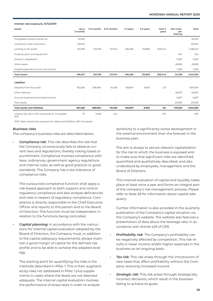#### **Interest rate exposure, 31/12/2019**

| Assets                                                       | Up to<br>3 months        |          | 3-6 months 6-12 months   | 1-3 years | 3-5 years | Over 5<br>years          | Non-inter-<br>est-<br>bearing | Total     |
|--------------------------------------------------------------|--------------------------|----------|--------------------------|-----------|-----------|--------------------------|-------------------------------|-----------|
| Chargeable treasury bonds, etc.                              | 50,030                   |          |                          |           |           |                          | ٠                             | 50,030    |
| Lending to credit institutions                               | 320,612                  |          |                          |           |           |                          | ٠                             | 320,612   |
| Lending to the public                                        | 247,385                  | 153,708  | 127,342                  | 485,280   | 215,883   | 208,444                  | ä,                            | 1,438,042 |
| Property, plant and equipment                                | $\overline{\phantom{a}}$ |          | $\overline{\phantom{a}}$ |           |           | $\sim$                   | 254                           | 254       |
| Shares in subsidiaries                                       |                          |          |                          |           |           | $\sim$                   | 3,050                         | 3,050     |
| Other assets                                                 |                          |          |                          |           |           | $\overline{\phantom{a}}$ | 28,893                        | 28,893    |
| Prepaid expenses and accrued income                          |                          |          |                          |           |           | $\overline{\phantom{a}}$ | 2,329                         | 2,329     |
| <b>Total assets</b>                                          | 618,027                  | 153,708  | 127,342                  | 485,280   | 215,883   | 208,444                  | 34,596                        | 1,843,280 |
| Liabilities                                                  |                          |          |                          |           |           |                          |                               |           |
| Deposits from the public                                     | 952,556                  | 288.084  | 151,283                  | 166,807   | 8,695     | 221                      |                               | 1,567,646 |
| Other liabilities                                            | ٠                        |          |                          |           | ٠         | ٠                        | 48.873                        | 48,873    |
| Accrued expenses and prepaid income                          |                          |          |                          |           |           | ٠                        | 6,827                         | 6,827     |
| Total equity                                                 | ٠                        | ۰        | ٠                        |           | ٠         | ٠                        | 219,935                       | 219,935   |
| <b>Total equity and liabilities</b>                          | 952,556                  | 288,084  | 151,283                  | 166,807   | 8,695     | 221                      | 275,635                       | 1,843,280 |
| Interest rate risk in SEK thousands at -2% parallel<br>shift | 47                       | $-1,008$ | $-44$                    |           |           | 745                      |                               | $-657$    |

2019. Table Interest rate exposure for assets and liabilities, SEK thousands.

#### *Business risks*

The company's business risks are described below:

*• Compliance risk*: This risk describes the risk that the Company unconsciously fails to observe current laws and regulations, thereby risking losses or punishment. Compliance involves compliance with laws, ordinances, government agency regulations and internal rules, as well as good practice or good standards. The Company has a low tolerance of compliance risks.

The outsourced compliance function shall apply a risk-based approach to both support and control regulatory compliance and also analyse deficiencies and risks in respect of regulatory compliance. Compliance is directly responsible to the Chief Executive Officer and reports to this person and to the Board of Directors. This function must be independent in relation to the functions being controlled.

*• Capital planning:* In accordance with the instructions for internal capital evaluation adopted by the Board of Directors, the Company must, in addition to the capital adequacy requirements, always maintain a good margin of capital for the defined risk profile and to be able to achieve the adopted strategy.

The starting point for quantifying the risks is the methods described in Pillar 1. This is then augmented by risks not addressed in Pillar 1 plus supplements in cases where the levels are not deemed adequate. The internal capital evaluation involves the performance of stress tests in order to analyse

sensitivity to a significantly worse development in the external environment than the forecast in the business plan.

The aim is always to secure relevant capitalisation for the risk to which the business is exposed and to make sure that significant risks are identified, quantified and qualitatively described, and also understood by employees, management and the Board of Directors.

This internal evaluation of capital and liquidity takes place at least once a year and forms an integral part of the company's risk management process. Please refer to Note 28 for information about capital adequacy.

Further information is also provided in the quarterly publication of the Company's capital situation via the Company's website. The website also features a presentation of data about the leverage ratio in accordance with Article 429 of CRR.

- *• Profitability risk*: The Company's profitability can be negatively affected by competition. This risk results in lower income and/or higher expenses in the business on an ongoing basis.
- *• Tax risk*: This risk arises through the introduction of new taxes that affect profitability without the Company receiving increased income.
- *Strategic risk: This risk arises through strategically* incorrect decisions, which result in the business failing to achieve its goals.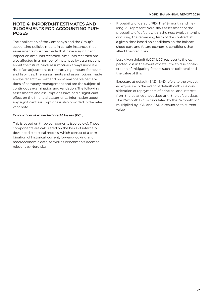### **NOTE 4. IMPORTANT ESTIMATES AND JUDGEMENTS FOR ACCOUNTING PUR-POSES**

The application of the Company's and the Group's accounting policies means in certain instances that assessments must be made that have a significant impact on amounts recorded. Amounts recorded are also affected in a number of instances by assumptions about the future. Such assumptions always involve a risk of an adjustment to the carrying amount for assets and liabilities. The assessments and assumptions made always reflect the best and most reasonable perceptions of company management and are the subject of continuous examination and validation. The following assessments and assumptions have had a significant effect on the financial statements. Information about any significant assumptions is also provided in the relevant note.

#### *Calculation of expected credit losses (ECL)*

This is based on three components (see below). These components are calculated on the basis of internally developed statistical models, which consist of a combination of historical, current, forward-looking and macroeconomic data, as well as benchmarks deemed relevant by Nordiska.

- Probability of default (PD) The 12-month and lifelong PD represent Nordiska's assessment of the probability of default within the next twelve months or during the remaining term of the contract at a given time based on conditions on the balance sheet date and future economic conditions that affect the credit risk.
- Loss given default (LGD) LGD represents the expected loss in the event of default with due consideration of mitigating factors such as collateral and the value of this.
- Exposure at default (EAD) EAD refers to the expected exposure in the event of default with due consideration of repayments of principal and interest from the balance sheet date until the default date. The 12-month ECL is calculated by the 12-month PD multiplied by LGD and EAD discounted to current value.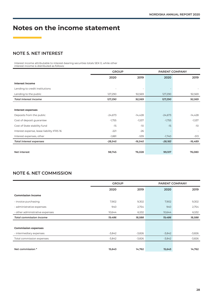# **Notes on the income statement**

# **NOTE 5. NET INTEREST**

Interest income attributable to interest-bearing securities totals SEK 0, while other interest income is distributed as follows:

|                                           | <b>GROUP</b> |           | PARENT COMPANY |                          |
|-------------------------------------------|--------------|-----------|----------------|--------------------------|
|                                           | 2020         | 2019      | 2020           | 2019                     |
| <b>Interest income</b>                    |              |           |                |                          |
| Lending to credit institutions            |              |           |                |                          |
| Lending to the public                     | 127,290      | 92,569    | 127,290        | 92,569                   |
| <b>Total interest income</b>              | 127,290      | 92,569    | 127,290        | 92,569                   |
|                                           |              |           |                |                          |
| <b>Interest expenses</b>                  |              |           |                |                          |
| Deposits from the public                  | $-24,673$    | $-14,428$ | $-24,673$      | $-14,428$                |
| Cost of deposit guarantee                 | $-1,755$     | -1,537    | $-1,755$       | $-1,537$                 |
| Cost of State stability fund              | $-15$        | $-10$     | $-15$          | $-10$                    |
| Interest expense, lease liability IFRS 16 | $-221$       | $-26$     |                | $\overline{\phantom{a}}$ |
| Interest expenses, other                  | $-1,881$     | -539      | $-1,740$       | $-513$                   |
| <b>Total interest expenses</b>            | $-28,545$    | -16,540   | $-28,183$      | -16,489                  |
|                                           |              |           |                |                          |
| Net interest                              | 98,745       | 76,028    | 99,107         | 76,080                   |

# **NOTE 6. NET COMMISSION**

|                                 | <b>GROUP</b> |          | <b>PARENT COMPANY</b> |          |
|---------------------------------|--------------|----------|-----------------------|----------|
|                                 | 2020         | 2019     | 2020                  | 2019     |
| <b>Commission income</b>        |              |          |                       |          |
| - invoice purchasing            | 7,902        | 9,302    | 7,902                 | 9,302    |
| - administrative expenses       | 940          | 2,754    | 940                   | 2,754    |
| - other administrative expenses | 10,644       | 6,532    | 10,644                | 6,532    |
| <b>Total commission income</b>  | 19,486       | 18,588   | 19,486                | 18,588   |
|                                 |              |          |                       |          |
| <b>Commission expenses</b>      |              |          |                       |          |
| - intermediary expenses         | $-3,842$     | $-3,826$ | $-3,842$              | $-3,826$ |
| Total commission expenses       | $-3,842$     | $-3,826$ | $-3,842$              | $-3,826$ |
|                                 |              |          |                       |          |
| Net commission *                | 15,643       | 14,762   | 15,643                | 14,762   |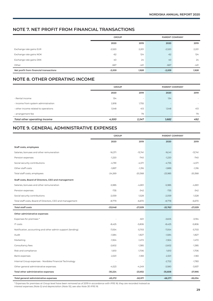## **NOTE 7. NET PROFIT FROM FINANCIAL TRANSACTIONS**

|                                        | <b>GROUP</b> |        | PARENT COMPANY |        |
|----------------------------------------|--------------|--------|----------------|--------|
|                                        | 2020         | 2019   | 2020           | 2019   |
| Exchange rate gains EUR                | $-2,520$     | 2,201  | $-2,520$       | 2,201  |
| Exchange rate gains NOK                | $-62$        | 124    | $-62$          | 124    |
| Exchange rate gains DKK                | 40           | 24     | 40             | 24     |
| Other                                  | $-667$       | $-421$ | $-667$         | $-421$ |
| Net profit from financial transactions | $-3,209$     | 1,928  | $-3,209$       | 1,928  |

# **NOTE 8. OTHER OPERATING INCOME**

|                                      | <b>GROUP</b>             |                          | PARENT COMPANY |        |  |
|--------------------------------------|--------------------------|--------------------------|----------------|--------|--|
|                                      | 2020                     | 2019                     | 2020           | 2019   |  |
| - Rental income                      | 134                      | $\overline{\phantom{a}}$ | 134            | $\sim$ |  |
| - income from system administration  | 2,818                    | 1,755                    |                | $\sim$ |  |
| - other income related to operations | 1,548                    | 413                      | 1,548          | 413    |  |
| - arrangement fee                    | $\overline{\phantom{a}}$ | 79                       |                | 79     |  |
| Total other operating income         | 4.500                    | 2,247                    | 1,682          | 492    |  |

# **NOTE 9. GENERAL ADMINISTRATIVE EXPENSES**

|                                                            | <b>GROUP</b> |           | PARENT COMPANY |           |
|------------------------------------------------------------|--------------|-----------|----------------|-----------|
|                                                            | 2020         | 2019      | 2020           | 2019      |
| Staff costs, employees                                     |              |           |                |           |
| Salaries, bonuses and other remuneration                   | $-16,371$    | $-13,741$ | $-16,141$      | $-13,741$ |
| Pension expenses                                           | $-1,220$     | $-740$    | $-1,220$       | $-740$    |
| Social security contributions                              | $-4,781$     | $-4,571$  | $-4,735$       | $-4,571$  |
| Other staff costs                                          | $-1,897$     | $-1,316$  | $-1,889$       | $-1,316$  |
| Total staff costs, employees                               | $-24,269$    | $-20,368$ | $-23,985$      | $-20,368$ |
| Staff costs, Board of Directors, CEO and management        |              |           |                |           |
| Salaries, bonuses and other remuneration                   | $-5,985$     | $-4,801$  | $-5,985$       | $-4,801$  |
| Pension expenses                                           | $-735$       | $-342$    | $-735$         | $-342$    |
| Social security contributions                              | $-2,059$     | $-1,528$  | $-2,059$       | $-1,528$  |
| Total staff costs, Board of Directors, CEO and management  | $-8,779$     | $-6,670$  | $-8,778$       | $-6,670$  |
| <b>Total staff costs</b>                                   | $-33,048$    | $-27,039$ | $-32,763$      | $-27,039$ |
| Other administrative expenses                              |              |           |                |           |
| Expenses for premises *                                    |              | $-601$    | $-3,605$       | $-3,194$  |
| IT costs                                                   | $-8,425$     | $-5,806$  | $-8,425$       | $-5,806$  |
| Notification, accounting and other admin support (lending) | $-7,054$     | $-5,703$  | $-7,054$       | $-5,703$  |
| Audit                                                      | $-1,584$     | $-1,827$  | $-1,584$       | $-1,827$  |
| Marketing                                                  | $-1,924$     | $-1,472$  | $-1,924$       | $-1,472$  |
| Consultancy fees                                           | $-2,602$     | $-1,385$  | $-2,602$       | $-1,385$  |
| Risk and compliance                                        | $-1,610$     | $-1,706$  | $-1,610$       | $-1,706$  |
| Bank expenses                                              | $-2,501$     | $-1,183$  | $-2,501$       | $-1,183$  |
| Internal Group expenses - Nordiska Financial Technology    |              |           | $-2,722$       | $-1.783$  |
| Other general administrative expenses                      | $-4,523$     | $-4,249$  | $-3,580$       | $-3,937$  |
| Total other administrative expenses                        | $-30,224$    | $-23,932$ | $-35,608$      | $-27,995$ |
| Total general administrative expenses                      | $-63,272$    | $-50,971$ | $-68,371$      | $-55,034$ |

*\* Expenses for premises at Group level have been removed as of 2019 in accordance with IFRS 16; they are recorded instead as interest expenses (Note 5) and depreciation (Note 10), see also Note 30 IFRS 16.*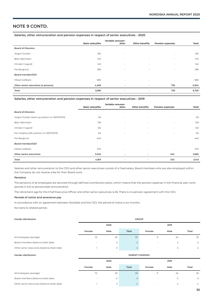# **NOTE 9 CONTD.**

#### **Salaries, other remuneration and pension expenses in respect of senior executives - 2020**

|                                     | <b>Basic salary/fee</b> | Variable remuner-<br>ation | <b>Other benefits</b>    | <b>Pension expenses</b>  | Total |
|-------------------------------------|-------------------------|----------------------------|--------------------------|--------------------------|-------|
| <b>Board of Directors</b>           |                         |                            |                          |                          |       |
| Jörgen Durban                       | 160                     | $\overline{\phantom{a}}$   | $\sim$                   | $\sim$                   | 160   |
| Björn Björnsson                     | 140                     | $\overline{\phantom{a}}$   | $\overline{\phantom{a}}$ | $\overline{\phantom{a}}$ | 140   |
| Christer Cragnell                   | 140                     | $\overline{\phantom{a}}$   | $\overline{\phantom{a}}$ | $\sim$                   | 140   |
| Per Berglund                        | 396                     | $\overline{\phantom{a}}$   | $\overline{\phantom{a}}$ | $\sim$                   | 396   |
| <b>Board member/CEO</b>             |                         |                            |                          |                          |       |
| Mikael Gellbäck                     | 680                     | $\sim$                     | $\sim$                   | $\sim$                   | 680   |
| Other senior executives (4 persons) | 4,469                   | $\overline{\phantom{a}}$   | $\overline{\phantom{a}}$ | 735                      | 5,204 |
| Total                               | 5,985                   | $\overline{\phantom{a}}$   | $\overline{\phantom{a}}$ | 735                      | 6,720 |

#### **Salaries, other remuneration and pension expenses in respect of senior executives - 2019**

|                                                |                         | Variable remuner-        |                          |                         |       |
|------------------------------------------------|-------------------------|--------------------------|--------------------------|-------------------------|-------|
|                                                | <b>Basic salary/fee</b> | ation                    | <b>Other benefits</b>    | <b>Pension expenses</b> | Total |
| <b>Board of Directors</b>                      |                         |                          |                          |                         |       |
| Jörgen Durban (took up position on 03/07/2019) | 60                      | $\sim$                   | $\overline{\phantom{a}}$ |                         | 60    |
| Björn Björnsson                                | 109                     | $\overline{\phantom{a}}$ |                          |                         | 109   |
| Christer Cragnell                              | 120                     | $\overline{\phantom{a}}$ | $\overline{\phantom{a}}$ | $\sim$                  | 120   |
| Per Andelius (left position on 03/07/2019)     | 60                      | $\sim$                   | $\overline{\phantom{a}}$ |                         | 60    |
| Per Berglund                                   | 440                     |                          |                          |                         | 440   |
| Board member/CEO                               |                         |                          |                          |                         |       |
| Mikael Gellbäck                                | 672                     | $\sim$                   | $\overline{\phantom{a}}$ | ٠                       | 672   |
| Other senior executives                        | 3,340                   | $\overline{\phantom{a}}$ |                          | 342                     | 3,682 |
| Total                                          | 4,801                   | $\overline{\phantom{a}}$ | $\overline{\phantom{a}}$ | 342                     | 5,143 |

Salaries and other remuneration to the CEO and other senior executives consist of a fixed salary. Board members who are also employed within the Company do not receive a fee for their Board work.

#### *Pensions*

The pensions of all employees are secured through defined contribution plans, which means that the pension expense in the financial year corresponds in full to pensionable remuneration.

The retirement age for the Chief Executive Officer and other senior executives is 65. There is no pension agreement with the CEO.

#### *Periods of notice and severance pay*

In accordance with an agreement between Nordiska and the CEO, the period of notice is six months.

No loans to related parties

# **Gender distribution GROUP 2020 2019 Female Male Total Female Male Total** All employees (average) 23 and 20 30 30 9 24 33 Board members (balance sheet date) - 5 5 - 5 5 Other senior executives (balance sheet date) 1 3 4 - 4 4

#### **Gender distribution PARENT COMPANY**

|                                              | 2020                     |      |       | 2019   |                |       |
|----------------------------------------------|--------------------------|------|-------|--------|----------------|-------|
|                                              | Female                   | Male | Total | Female | Male           | Total |
| All employees (average)                      | 10                       | 20   | 30    | 9      | 24             | 33    |
| Board members (balance sheet date)           | $\overline{\phantom{a}}$ | 5    |       |        | 5              | 5     |
| Other senior executives (balance sheet date) |                          |      | 4     | $\sim$ | $\overline{4}$ | 4     |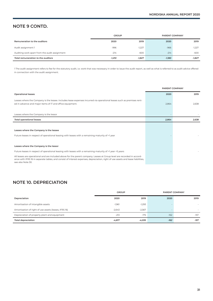# **NOTE 9 CONTD.**

|                                               | <b>GROUP</b> |          | <b>PARENT COMPANY</b> |          |
|-----------------------------------------------|--------------|----------|-----------------------|----------|
| Remuneration to the auditors                  | 2020         | 2019     | 2020                  | 2019     |
| Audit assignment 1                            | $-996$       | $-1.227$ | $-966$                | $-1,227$ |
| Auditing work apart from the audit assignment | $-214$       | $-600$   | $-214$                | $-600$   |
| Total remuneration to the auditors            | -1,210       | $-1.827$ | $-1,180$              | $-1.827$ |

1 The audit assignment refers to fee for the statutory audit, i.e. work that was necessary in order to issue the audit report, as well as what is referred to as audit advice offered in connection with the audit assignment.

|                                                                                                                                                                                                                                                                                  | <b>PARENT COMPANY</b> |       |
|----------------------------------------------------------------------------------------------------------------------------------------------------------------------------------------------------------------------------------------------------------------------------------|-----------------------|-------|
| <b>Operational leases</b>                                                                                                                                                                                                                                                        | 2020                  | 2019  |
| Leases where the Company is the lessee. Includes lease expenses incurred via operational leases such as premises rent-<br>ed in advance and major items of IT and office equipment.                                                                                              | 2,864                 | 2.638 |
| Leases where the Company is the lessor                                                                                                                                                                                                                                           |                       |       |
| <b>Total operational leases</b>                                                                                                                                                                                                                                                  | 2.864                 | 2,638 |
| Leases where the Company is the lessee                                                                                                                                                                                                                                           |                       |       |
| Future leases in respect of operational leasing with leases with a remaining maturity of <1 year<br>Leases where the Company is the lessor                                                                                                                                       |                       |       |
| Future leases in respect of operational leasing with leases with a remaining maturity of >1 year <5 years                                                                                                                                                                        |                       |       |
| All leases are operational and are included above for the parent company. Leases at Group level are recorded in accord-<br>ance with IFRS 16 in separate tables, and consist of interest expenses, depreciation, right of use assets and lease liabilities,<br>see also Note 30. |                       |       |

# **NOTE 10. DEPRECIATION**

|                                                       | <b>GROUP</b> |          |        | PARENT COMPANY           |
|-------------------------------------------------------|--------------|----------|--------|--------------------------|
| Depreciation                                          | 2020         | 2019     | 2020   | 2019                     |
| Amortisation of intangible assets                     | $-1,961$     | $-1,293$ |        |                          |
| Amortisation of right of use assets (leases, IFRS 16) | $-2.643$     | $-2.567$ |        | $\overline{\phantom{a}}$ |
| Depreciation of property plant and equipment          | $-213$       | $-175$   | $-162$ | $-157$                   |
| <b>Total depreciation</b>                             | $-4,817$     | -4,035   | $-162$ | $-157$                   |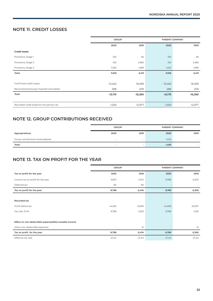## **NOTE 11. CREDIT LOSSES**

|                                            | <b>GROUP</b> |           |           | PARENT COMPANY |
|--------------------------------------------|--------------|-----------|-----------|----------------|
|                                            | 2020         | 2019      | 2020      | 2019           |
| <b>Credit losses</b>                       |              |           |           |                |
| Provisions, Stage 1                        | 255          | $-56$     | 255       | $-56$          |
| Provisions, Stage 2                        | 100          | 2,380     | 100       | 2,380          |
| Provisions, Stage 3                        | 11,261       | 1,089     | 11,261    | 1,089          |
| Total                                      | 11,616       | 3,413     | 11,616    | 3,413          |
|                                            |              |           |           |                |
| Confirmed credit losses                    | $-13,463$    | $-16,599$ | $-13,463$ | $-16,599$      |
| Recovered previously impaired receivables  | 288          | 209       | 288       | 209            |
| <b>Total</b>                               | $-13,175$    | -16,390   | $-13,175$ | -16,390        |
|                                            |              |           |           |                |
| Recorded credit losses for the period, net | $-1,559$     | $-12,977$ | $-1,559$  | $-12,977$      |

# **NOTE 12. GROUP CONTRIBUTIONS RECEIVED**

|                                   | <b>GROUP</b>             |                          | PARENT COMPANY |                          |  |
|-----------------------------------|--------------------------|--------------------------|----------------|--------------------------|--|
| Appropriations                    | 2020                     | 2019                     | 2020           | 2019                     |  |
| Group contributions received/paid | $\overline{\phantom{a}}$ | $\overline{\phantom{a}}$ | 1,400          |                          |  |
| Total                             | $\overline{\phantom{a}}$ | -                        | 1,400          | $\overline{\phantom{a}}$ |  |

# **NOTE 13. TAX ON PROFIT FOR THE YEAR**

|                                                      | <b>GROUP</b> |          | PARENT COMPANY |          |  |  |
|------------------------------------------------------|--------------|----------|----------------|----------|--|--|
| Tax on profit for the year                           | 2020         | 2019     | 2020           | 2019     |  |  |
| Current tax on profit for the year                   | $-9,637$     | $-5,314$ | $-9,786$       | $-5,300$ |  |  |
| Deferred tax                                         | -161         | -161     |                |          |  |  |
| Tax on profit for the year                           | $-9,798$     | $-5,474$ | $-9,786$       | $-5,300$ |  |  |
|                                                      |              |          |                |          |  |  |
| Recorded tax                                         |              |          |                |          |  |  |
| Profit before tax                                    | 44,555       | 25,816   | 44,508         | 25,007   |  |  |
| Tax rate: 21.4%                                      | $-9,798$     | $-5,525$ | $-9,786$       | $-5,351$ |  |  |
|                                                      |              |          |                |          |  |  |
| Effect on non-deductible expenses/Non-taxable income |              |          |                |          |  |  |
| Other non-deductible expenses                        |              | 51       |                | 51       |  |  |
| Tax on profit for the year                           | $-9,798$     | $-5,474$ | $-9,786$       | $-5,300$ |  |  |
| Effective tax rate                                   | $-21.4%$     | $-21.2%$ | $-21.4%$       | $-21.2%$ |  |  |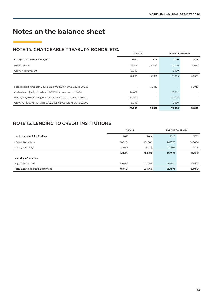# **Notes on the balance sheet**

# **NOTE 14. CHARGEABLE TREASURY BONDS, ETC.**

|                                                                    | <b>GROUP</b> |                          | PARENT COMPANY |        |  |
|--------------------------------------------------------------------|--------------|--------------------------|----------------|--------|--|
| Chargeable treasury bonds, etc.                                    | 2020         | 2019                     | 2020           | 2019   |  |
| Municipal bills                                                    | 70,006       | 50,030                   | 70,006         | 50,030 |  |
| German government                                                  | 6,000        |                          | 6,000          |        |  |
|                                                                    | 76,006       | 50,030                   | 76,006         | 50,030 |  |
|                                                                    |              |                          |                |        |  |
| Helsingborg Municipality, due date 18/03/2020. Nom. amount: 50,000 |              | 50,030                   |                | 50,030 |  |
| Örebro Municipality, due date 12/03/2021. Nom. amount: 20,000      | 20,002       |                          | 20,002         |        |  |
| Helsingborg Municipality, due date 19/04/2021 Nom. amount: 50,000  | 50,004       | $\overline{\phantom{a}}$ | 50,004         |        |  |
| Germany RB Bond, due date 03/02/2021. Nom. amount: EUR 600,000     | 6,000        |                          | 6,000          |        |  |
|                                                                    | 76,006       | 50,030                   | 76,006         | 50,030 |  |

# **NOTE 15. LENDING TO CREDIT INSTITUTIONS**

|                                      | <b>GROUP</b> |         | <b>PARENT COMPANY</b> |         |  |
|--------------------------------------|--------------|---------|-----------------------|---------|--|
| Lending to credit institutions       | 2020         | 2019    | 2020                  | 2019    |  |
| - Swedish currency                   | 286,056      | 186,842 | 285,366               | 186,484 |  |
| - foreign currency                   | 177,608      | 134,129 | 177,608               | 134,129 |  |
|                                      | 463,664      | 320,971 | 462,974               | 320,612 |  |
| <b>Maturity information</b>          |              |         |                       |         |  |
| Payable on request                   | 463.664      | 320,971 | 462,974               | 320,612 |  |
| Total lending to credit institutions | 463,664      | 320,971 | 462,974               | 320,612 |  |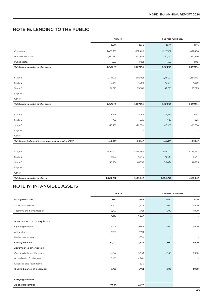### **NOTE 16. LENDING TO THE PUBLIC**

|                                                        | <b>GROUP</b> |           | PARENT COMPANY |           |  |
|--------------------------------------------------------|--------------|-----------|----------------|-----------|--|
|                                                        | 2020         | 2019      | 2020           | 2019      |  |
| Companies                                              | 1,025,382    | 632,406   | 1,025,382      | 632,406   |  |
| Private individuals                                    | 1,782,170    | 832,956   | 1,782,170      | 832,956   |  |
| Public sector                                          | 1,563        | 1,821     | 1,563          | 1,821     |  |
| Total lending to the public, gross                     | 2,809,115    | 1,467,184 | 2,809,115      | 1,467,184 |  |
|                                                        |              |           |                |           |  |
| Stage 1                                                | 2,711,221    | 1,386,851 | 2,711,221      | 1,386,851 |  |
| Stage 2                                                | 43,671       | 4,969     | 43,671         | 4,969     |  |
| Stage 3                                                | 54,223       | 75,365    | 54,223         | 75,365    |  |
| Deposits                                               |              |           |                |           |  |
| Other                                                  |              |           |                |           |  |
| Total lending to the public, gross                     | 2,809,115    | 1,467,184 | 2,809,115      | 1,467,184 |  |
|                                                        |              |           |                |           |  |
| Stage 1                                                | $-28,514$    | $-2,187$  | $-28,514$      | $-2,187$  |  |
| Stage 2                                                | $-720$       | $-325$    | $-720$         | $-325$    |  |
| Stage 3                                                | $-15,589$    | $-26,630$ | $-15,589$      | $-26,630$ |  |
| Deposits                                               |              |           |                |           |  |
| Other                                                  |              |           |                |           |  |
| Total expected credit losses in accordance with IFRS 9 | $-44,823$    | $-29,142$ | $-44,823$      | $-29,142$ |  |
|                                                        |              |           |                |           |  |
| Stage 1                                                | 2,682,707    | 1,384,663 | 2,682,707      | 1,384,663 |  |
| Stage 2                                                | 42,951       | 4,644     | 42,951         | 4,644     |  |
| Stage 3                                                | 38,634       | 48,735    | 38,634         | 48,735    |  |
| Deposits                                               |              |           |                |           |  |
| Other                                                  |              |           |                |           |  |
| Total lending to the public, net                       | 2,764,292    | 1,438,042 | 2,764,292      | 1,438,042 |  |

# **NOTE 17. INTANGIBLE ASSETS**

|                                 | <b>GROUP</b>             |          | <b>PARENT COMPANY</b> |                          |
|---------------------------------|--------------------------|----------|-----------------------|--------------------------|
| Intangible assets               | 2020                     | 2019     | 2020                  | 2019                     |
| - cost of acquisition           | 14,417                   | 11,208   | 1,900                 | 1,900                    |
| - accumulated amortisation      | $-6,723$                 | $-4,761$ | $-1,900$              | $-1,900$                 |
|                                 | 7,694                    | 6,447    |                       | $\overline{\phantom{a}}$ |
| Accumulated cost of acquisition |                          |          |                       |                          |
| Opening balance                 | 11,208                   | 9,018    | 1,900                 | 1,900                    |
| Acquisitions                    | 3,209                    | 2,791    |                       | $\sim$                   |
| Retirement of assets            |                          | $-600$   |                       | $\sim$                   |
| Closing balance                 | 14,417                   | 11,208   | 1,900                 | 1,900                    |
| Accumulated amortisation        |                          |          |                       |                          |
| Opening balance, 1 January      | $-4,761$                 | $-3,833$ | $-1,900$              | $-1,900$                 |
| Amortisation for the year       | $-1,962$                 | $-1,262$ |                       | $\sim$                   |
| Disposals and retirements       | $\overline{\phantom{a}}$ | 334      |                       |                          |
| Closing balance, 31 December    | $-6,723$                 | $-4,761$ | $-1,900$              | $-1,900$                 |
|                                 |                          |          |                       |                          |
| Carrying amounts                |                          |          |                       |                          |
| As of 31 December               | 7,694                    | 6,447    |                       |                          |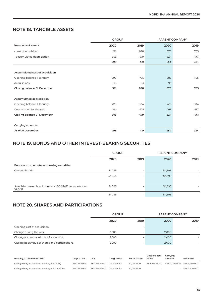# **NOTE 18. TANGIBLE ASSETS**

|                                 | <b>GROUP</b> |        | PARENT COMPANY |        |  |
|---------------------------------|--------------|--------|----------------|--------|--|
| Non-current assets              | 2020         | 2019   | 2020           | 2019   |  |
| - cost of acquisition           | 991          | 898    | 878            | 785    |  |
| - accumulated depreciation      | $-693$       | $-479$ | $-624$         | $-461$ |  |
|                                 | 298          | 419    | 254            | 324    |  |
|                                 |              |        |                |        |  |
| Accumulated cost of acquisition |              |        |                |        |  |
| Opening balance, 1 January      | 898          | 785    | 785            | 785    |  |
| Acquisitions                    | 93           | 113    | 93             |        |  |
| Closing balance, 31 December    | 991          | 898    | 878            | 785    |  |
|                                 |              |        |                |        |  |
| Accumulated depreciation        |              |        |                |        |  |
| Opening balance, 1 January      | $-479$       | $-304$ | $-461$         | $-304$ |  |
| Depreciation for the year       | $-214$       | $-175$ | $-163$         | $-157$ |  |
| Closing balance, 31 December    | $-693$       | $-479$ | $-624$         | $-461$ |  |
|                                 |              |        |                |        |  |
| Carrying amounts                |              |        |                |        |  |
| As of 31 December               | 298          | 419    | 254            | 324    |  |

# **NOTE 19. BONDS AND OTHER INTEREST-BEARING SECURITIES**

|                                                                  | <b>GROUP</b> |      | <b>PARENT COMPANY</b> |      |
|------------------------------------------------------------------|--------------|------|-----------------------|------|
|                                                                  | 2020         | 2019 | 2020                  | 2019 |
| Bonds and other interest-bearing securities                      |              |      |                       |      |
| Covered bonds                                                    | 54,395       |      | 54,395                |      |
|                                                                  | 54,395       |      | 54,395                |      |
| Swedish covered bond, due date 15/09/2021. Nom. amount<br>54,000 | 54,395       |      | 54,395                |      |
|                                                                  | 54,395       |      | 54,395                |      |

# **NOTE 20. SHARES AND PARTICIPATIONS**

|                                                 | <b>GROUP</b> |                          | <b>PARENT COMPANY</b> |      |  |
|-------------------------------------------------|--------------|--------------------------|-----------------------|------|--|
|                                                 | 2020         | 2019                     | 2020                  | 2019 |  |
| Opening cost of acquisition                     | $\sim$       | $\,$                     |                       |      |  |
| Change during the year                          | 2.000        | $\overline{\phantom{a}}$ | 2.000                 |      |  |
| Closing accumulated cost of acquisition         | 2,000        | $\sim$                   | 2,000                 |      |  |
| Closing book value of shares and participations | 2.000        | $\,$                     | 2.000                 |      |  |

| Holding, 31 December 2020                     | Corp. ID no. | <b>ISIN</b>  | Rea. office | No. of shares | Cost of acqui-<br>sition | Carrving<br>amount | <b>Fair value</b> |
|-----------------------------------------------|--------------|--------------|-------------|---------------|--------------------------|--------------------|-------------------|
| Grängesberg Exploration Holding AB (publ)     | 556710-2784  | SF0007789417 | Stockholm   | 50,000,000    | SEK 2.000.000            | SEK 2.000.000      | SEK 5.750.000     |
| Grängesberg Exploration Holding AB Uniträtter | 556710-2784  | SE0007789417 | Stockholm   | 50,000,000    | $\overline{\phantom{0}}$ |                    | SEK 1.400.000     |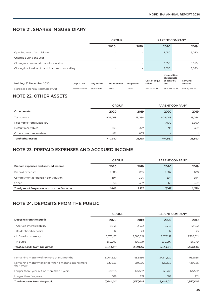# **NOTE 21. SHARES IN SUBSIDIARY**

|                                                    |              | <b>GROUP</b><br><b>PARENT COMPANY</b> |                          |                          |                          |                                                       |                    |
|----------------------------------------------------|--------------|---------------------------------------|--------------------------|--------------------------|--------------------------|-------------------------------------------------------|--------------------|
|                                                    |              |                                       | 2020                     | 2019                     |                          | 2020                                                  | 2019               |
| Opening cost of acquisition                        |              |                                       | $\sim$                   | $\overline{\phantom{a}}$ |                          | 3,050                                                 | 3,050              |
| Change during the year                             |              |                                       | $\overline{\phantom{a}}$ | $\overline{\phantom{a}}$ |                          |                                                       |                    |
| Closing accumulated cost of acquisition            |              |                                       | $\sim$                   | $\sim$                   |                          | 3,050                                                 | 3,050              |
| Closing book value of participations in subsidiary |              |                                       | $\sim$                   | $\overline{\phantom{a}}$ |                          | 3,050                                                 | 3,050              |
| Holding, 31 December 2020                          | Corp. ID no. | Reg. office                           | No. of shares            | Proportion               | Cost of acqui-<br>sition | Uncondition-<br>al sharehold-<br>er contribu-<br>tion | Carrying<br>amount |
| Nordiska Financial Technology AB                   | 559080-4570  | Stockholm                             | 50,000                   | 100%                     | SEK 50,000               | SEK 3,000,000                                         | SEK 3,050,000      |

# **NOTE 22. OTHER ASSETS**

|                            | <b>GROUP</b>             |        | <b>PARENT COMPANY</b> |        |  |
|----------------------------|--------------------------|--------|-----------------------|--------|--|
| Other assets               | 2020                     | 2019   | 2020                  | 2019   |  |
| Tax account                | 409,068                  | 25,064 | 409,068               | 25,064 |  |
| Receivable from subsidiary | $\overline{\phantom{a}}$ | $\sim$ | 4,900                 | 3,500  |  |
| Default receivables        | 893                      | 327    | 893                   | 327    |  |
| Other current receivables  | 981                      | 803    |                       |        |  |
| Total other assets         | 410,942                  | 26,195 | 414,861               | 28,893 |  |

# **NOTE 23. PREPAID EXPENSES AND ACCRUED INCOME**

|                                           | <b>GROUP</b> |       | <b>PARENT COMPANY</b> |       |
|-------------------------------------------|--------------|-------|-----------------------|-------|
| Prepaid expenses and accrued income       | 2020         | 2019  | 2020                  | 2019  |
| Prepaid expenses                          | 1,888        | 855   | 2,607                 | 1,628 |
| Commitment for pension contribution       | 394          | 394   | 394                   | 394   |
| Other                                     | 166          | 307   | 166                   | 307   |
| Total prepaid expenses and accrued income | 2.448        | 1,557 | 3,167                 | 2,329 |

# **NOTE 24. DEPOSITS FROM THE PUBLIC**

|                                                                       | <b>GROUP</b> |           | <b>PARENT COMPANY</b> |           |
|-----------------------------------------------------------------------|--------------|-----------|-----------------------|-----------|
| Deposits from the public                                              | 2020         | 2019      | 2020                  | 2019      |
| - Accrued interest liability                                          | 8,745        | 12,422    | 8,745                 | 12,422    |
| - Unidentified deposits                                               | 12           | 23        | 12                    | 23        |
| - in Swedish currency                                                 | 3,075,157    | 1,388,821 | 3,075,157             | 1,388,821 |
| - in euros                                                            | 360,097      | 166,379   | 360,097               | 166,379   |
| Total deposits from the public                                        | 3,444,011    | 1,567,645 | 3,444,011             | 1,567,645 |
|                                                                       |              |           |                       |           |
| Remaining maturity of no more than 3 months                           | 3,064,520    | 952,556   | 3,064,520             | 952,556   |
| Remaining maturity of longer than 3 months but no more<br>than 1 year | 320,338      | 439,366   | 320,338               | 439,366   |
| Longer than I year but no more than 5 years                           | 58,765       | 175,502   | 58,765                | 175,502   |
| Longer than five years                                                | 389          | 221       | 389                   | 221       |
| Total deposits from the public                                        | 3,444,011    | 1,567,645 | 3,444,011             | 1,567,645 |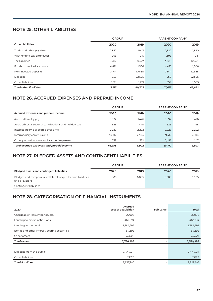# **NOTE 25. OTHER LIABILITIES**

|                                | <b>GROUP</b> |        | <b>PARENT COMPANY</b> |        |
|--------------------------------|--------------|--------|-----------------------|--------|
| <b>Other liabilities</b>       | 2020         | 2019   | 2020                  | 2019   |
| Trade and other payables       | 2,822        | 1,943  | 2,822                 | 1,820  |
| Withholding tax, employees     | 1,395        | 915    | 1,395                 | 915    |
| <b>Tax liabilities</b>         | 3,782        | 10,527 | 3,708                 | 10,354 |
| Funds in blocked accounts      | 4,491        | 1,506  | 4,491                 | 1,506  |
| Non-invested deposits          | 3,144        | 10,688 | 3,144                 | 10,688 |
| Deposits                       | 958          | 22,505 | 958                   | 22,505 |
| Other liabilities              | 1,321        | 1,219  | 899                   | 1,083  |
| <b>Total other liabilities</b> | 17,913       | 49,303 | 17,417                | 48,872 |

# **NOTE 26. ACCRUED EXPENSES AND PREPAID INCOME**

|                                                       | <b>GROUP</b> |       | <b>PARENT COMPANY</b> |       |
|-------------------------------------------------------|--------------|-------|-----------------------|-------|
| Accrued expenses and prepaid income                   | 2020         | 2019  | 2020                  | 2019  |
| Accrued holiday pay                                   | 1,992        | 1,426 | 1,992                 | 1,426 |
| Accrued social security contributions and holiday pay | 626          | 448   | 626                   | 448   |
| Interest income allocated over time                   | 2.226        | 2,202 | 2,226                 | 2.202 |
| Intermediary commissions                              | 59,412       | 2.504 | 59.412                | 2.504 |
| Other prepaid income and accrued expenses             | 1.739        | 322   | 1.456                 | 247   |
| Total accrued expenses and prepaid income             | 65.995       | 6,902 | 65,712                | 6,827 |

# **NOTE 27. PLEDGED ASSETS AND CONTINGENT LIABILITIES**

|                                                                                | <b>GROUP</b> |       | <b>PARENT COMPANY</b> |       |  |
|--------------------------------------------------------------------------------|--------------|-------|-----------------------|-------|--|
| Pledged assets and contingent liabilities                                      | 2020         | 2019  | 2020                  | 2019  |  |
| Pledges and comparable collateral lodged for own liabilities<br>and provisions | 6.005        | 6,005 | 6,005                 | 6,005 |  |
| Contingent liabilities                                                         | -            |       |                       | -     |  |

# **NOTE 28. CATEGORISATION OF FINANCIAL INSTRUMENTS**

| 2020                                        | Accrued<br>cost of acquisition | <b>Fair value</b> | Total     |
|---------------------------------------------|--------------------------------|-------------------|-----------|
| Chargeable treasury bonds, etc.             | 76,006                         | ٠                 | 76,006    |
| Lending to credit institutions              | 462,974                        |                   | 462,974   |
| Lending to the public                       | 2,764,292                      | $\sim$            | 2,764,292 |
| Bonds and other interest-bearing securities | 54,395                         | $\sim$            | 54,395    |
| Other assets                                | 423,331                        |                   | 423,331   |
| <b>Total assets</b>                         | 3,780,998                      |                   | 3,780,998 |
|                                             |                                |                   |           |
| Deposits from the public                    | 3,444,011                      | ٠                 | 3,444,011 |
| Other liabilities                           | 83,129                         | ۰                 | 83,129    |
| <b>Total liabilities</b>                    | 3,527,140                      |                   | 3,527,140 |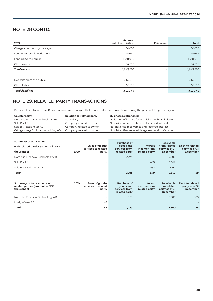# **NOTE 28 CONTD.**

| 2019                            | Accrued<br>cost of acquisition | <b>Fair value</b> | <b>Total</b> |
|---------------------------------|--------------------------------|-------------------|--------------|
| Chargeable treasury bonds, etc. | 50,030                         | ٠                 | 50,030       |
| Lending to credit institutions  | 320,612                        | $\sim$            | 320,612      |
| Lending to the public           | 1,438,042                      | ۰                 | 1,438,042    |
| Other assets                    | 34,596                         | ٠                 | 34,596       |
| <b>Total assets</b>             | 1,843,280                      |                   | 1,843,280    |
|                                 |                                |                   |              |
| Deposits from the public        | 1,567,645                      | ۰                 | 1,567,645    |
| Other liabilities               | 55,699                         | ٠                 | 55,699       |
| <b>Total liabilities</b>        | 1,623,344                      |                   | 1,623,344    |

# **NOTE 29. RELATED PARTY TRANSACTIONS**

Parties related to Nordiska Kreditmarknadsaktiebolaget that have conducted transactions during the year and the previous year:

| Counterparty                       | <b>Relation to related party</b> | <b>Business relationships</b>                            |
|------------------------------------|----------------------------------|----------------------------------------------------------|
| Nordiska Financial Technology AB   | Subsidiary                       | Utilisation of licence for Nordiska's technical platform |
| Sala Bly AB                        | Company related to owner         | Nordiska had receivables and received interest           |
| Sala Bly Fastigheter AB            | Company related to owner         | Nordiska had receivables and received interest           |
| Grängesberg Exploration Holding AB | Company related to owner         | Nordiska offset receivable against receipt of shares.    |

| Summary of transactions                                                      |      |                                                 | Purchase of                                                |                                          | Receivable                                               |                                               |
|------------------------------------------------------------------------------|------|-------------------------------------------------|------------------------------------------------------------|------------------------------------------|----------------------------------------------------------|-----------------------------------------------|
| with related parties (amount in SEK                                          |      | Sales of goods/<br>services to related          | goods and<br>services from                                 | Interest<br>income from                  | from related<br>party as of 31                           | Debt to related<br>party as of 31             |
| thousands)                                                                   | 2020 | party                                           | related party                                              | related party                            | December                                                 | December                                      |
| Nordiska Financial Technology AB                                             |      |                                                 | 2,235                                                      |                                          | 4,900                                                    |                                               |
| Sala Bly AB                                                                  |      |                                                 |                                                            | 438                                      | 2,922                                                    |                                               |
| Sala Bly Fastigheter AB                                                      |      |                                                 |                                                            | 452                                      | 2,981                                                    |                                               |
| Total                                                                        |      |                                                 | 2,235                                                      | 890                                      | 10,803                                                   | 188                                           |
|                                                                              |      |                                                 |                                                            |                                          |                                                          |                                               |
|                                                                              |      |                                                 |                                                            |                                          |                                                          |                                               |
| Summary of transactions with<br>related parties (amount in SEK<br>thousands) | 2019 | Sales of goods/<br>services to related<br>party | Purchase of<br>goods and<br>services from<br>related party | Interest<br>income from<br>related party | Receivable<br>from related<br>party as of 31<br>December | Debt to related<br>party as of 31<br>December |
| Nordiska Financial Technology AB                                             |      |                                                 | 1,783                                                      |                                          | 3,500                                                    | 188                                           |
| Lively Wines AB                                                              |      | 43                                              |                                                            |                                          |                                                          |                                               |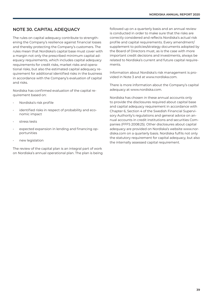# **NOTE 30. CAPITAL ADEQUACY**

The rules on capital adequacy contribute to strengthening the Company's resilience against financial losses and thereby protecting the Company's customers. The rules mean that Nordiska's capital base must cover with a margin not only the prescribed minimum capital adequacy requirements, which includes capital adequacy requirements for credit risks, market risks and operational risks, but also the estimated capital adequacy requirement for additional identified risks in the business in accordance with the Company's evaluation of capital and risks.

Nordiska has confirmed evaluation of the capital requirement based on:

- Nordiska's risk profile
- identified risks in respect of probability and economic impact
- stress tests
- expected expansion in lending and financing opportunities
- new legislation

The review of the capital plan is an integral part of work on Nordiska's annual operational plan. The plan is being followed up on a quarterly basis and an annual review is conducted in order to make sure that the risks are correctly considered and reflects Nordiska's actual risk profile and capital requirements. Every amendment/ supplement to policies/strategy documents adopted by the Board of Directors must, as is the case with more important credit decisions and investments, always be related to Nordiska's current and future capital requirements.

Information about Nordiska's risk management is provided in Note 3 and at www.nordiska.com.

There is more information about the Company's capital adequacy at www.nordiska.com.

Nordiska has chosen in these annual accounts only to provide the disclosures required about capital base and capital adequacy requirement in accordance with Chapter 6, Section 4 of the Swedish Financial Supervisory Authority's regulations and general advice on annual accounts in credit institutions and securities Companies (FFFS 2008:25). Other disclosures about capital adequacy are provided on Nordiska's website www.nordiska.com on a quarterly basis. Nordiska fulfils not only the statutory requirement for capital adequacy, but also the internally assessed capital requirement.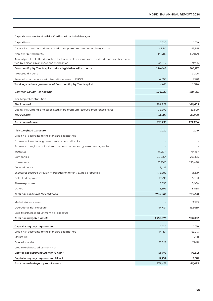#### **Capital situation for Nordiska Kreditmarknadsaktiebolaget**

| Capital base                                                                                                                               | 2020      | 2019     |
|--------------------------------------------------------------------------------------------------------------------------------------------|-----------|----------|
| Capital instruments and associated share premium reserves: ordinary shares                                                                 | 43,541    | 43,541   |
| Non-distributed profits                                                                                                                    | 141,786   | 122,879  |
| Annual profit net after deduction for foreseeable expenses and dividend that have been veri-<br>fied by persons in an independent position | 34,722    | 19,706   |
| Common Equity Tier 1 capital before legislative adjustments                                                                                | 220,048   | 186,127  |
| Proposed dividend                                                                                                                          |           | $-3,200$ |
| Reversal in accordance with transitional rules to IFRS 9                                                                                   | 4,880     | 5,528    |
| Total legislative adjustments of Common Equity Tier 1 capital                                                                              | 4,881     | 2,328    |
| Common Equity Tier 1 capital                                                                                                               | 224,929   | 188,455  |
| Tier 1 capital contribution                                                                                                                |           |          |
| Tier 1 capital                                                                                                                             | 224,929   | 188,455  |
| Capital instruments and associated share premium reserves: preference shares                                                               | 33,809    | 33,809   |
| Tier 2 capital                                                                                                                             | 33,809    | 33,809   |
| Total capital base                                                                                                                         | 258,738   | 222,264  |
| Risk-weighted exposure                                                                                                                     | 2020      | 2019     |
| Credit risk according to the standardised method                                                                                           |           |          |
| Exposures to national governments or central banks                                                                                         |           |          |
| Exposure to regional or local autonomous bodies and government agencies                                                                    |           |          |
| Institutes                                                                                                                                 | 87,834    | 64,157   |
| Companies                                                                                                                                  | 301,664   | 293,165  |
| Households                                                                                                                                 | 1,155,105 | 223,498  |
| Covered bonds                                                                                                                              | 5,429     |          |
| Exposures secured through mortgages on tenant-owned properties                                                                             | 176,889   | 141,279  |
| Defaulted exposures                                                                                                                        | 27,015    | 56,151   |
| Share exposures                                                                                                                            | 5,050     | 3,050    |
| Others                                                                                                                                     | 5,899     | 8,858    |
| Total risk exposures for credit risk                                                                                                       | 1,764,885 | 790,158  |
| Market risk exposure                                                                                                                       |           | 3,595    |
| Operational risk exposure                                                                                                                  | 194,091   | 162,639  |
| Creditworthiness adjustment risk exposure                                                                                                  |           |          |
| Total risk-weighted assets                                                                                                                 | 1,958,976 | 956,392  |
| Capital adequacy requirement                                                                                                               | 2020      | 2019     |
| Credit risk according to the standardised method                                                                                           | 141,191   | 63,213   |
| Market risk                                                                                                                                |           | 288      |
| Operational risk                                                                                                                           | 15,527    | 13,011   |
| Creditworthiness adjustment risk                                                                                                           |           |          |
| Capital adequacy requirement Pillar 1                                                                                                      | 156,718   | 76,512   |
| Capital adequacy requirement Pillar 2                                                                                                      | 17,754    | 9,381    |
| Total capital adequacy requirement                                                                                                         | 174,472   | 85,893   |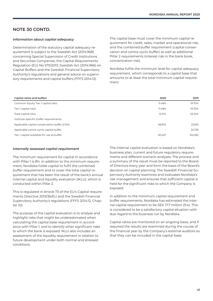# **NOTE 30 CONTD.**

#### *Information about capital adequacy*

Determination of the statutory capital adequacy requirement is subject to the Swedish Act (2014:968) concerning Special Supervision of Credit Institutions and Securities Companies, the Capital Requirements Regulation (EU) No 575/2013, Swedish Act (2014:966) on Capital Buffers and the Swedish Financial Supervisory Authority's regulations and general advice on supervisory requirements and capital buffers (FFFS 2014:12).

The capital base must cover the minimum capital requirement for credit, sales, market and operational risk, and the combined buffer requirement (capital conservation and contra-cyclic buffer) as well as additional Pillar 2 requirements (interest risk in the bank book, concentration risk).

Nordiska fulfils the minimum level for capital adequacy requirement, which corresponds to a capital base that amounts to at least the total minimum capital requirement.

| Capital ratios and buffers                    | 2020   | 2019    |
|-----------------------------------------------|--------|---------|
| Common Equity Tier 1 capital ratio            | 11.48% | 19.70%  |
| Tier 1 capital ratio                          | 11.48% | 19.70%  |
| Total capital ratio                           | 13.21% | 23.24%  |
| Institute-specific buffer requirements        |        |         |
| Applicable capital conservation buffer (2.5%) | 48.974 | 23,910  |
| Applicable contra-cyclic capital buffer       | $\sim$ | 22,735  |
| Tier 1 capital available for use as buffer    | 50,457 | 102,562 |

#### *Internally assessed capital requirement*

The minimum requirement for capital in accordance with Pillar 1 is 8%. In addition to the minimum requirement, Nordiska holds capital to fulfil the combined buffer requirement and to cover the total capital requirement that has been the result of the bank's annual internal capital and liquidity evaluation (IKLU), which is conducted within Pillar 2.

This is regulated in Article 73 of the EU's Capital requirements Directive 2013/36/EU and the Swedish Financial Supervisory Authority's regulations (FFFS 2014:12, Chapter 10).

The purpose of the capital evaluation is to analyse and highlight risks that might be underestimated when calculating the capital base requirement in accordance with Pillar 1, and to identify other significant risks to which the bank is exposed. IKLU also includes an assessment of the liquidity requirement in relation to future development under both normal and stressed conditions.

The internal capital evaluation is based on Nordiska's business plan, current and future regulatory requirements and different scenario analyses. The process and a summary of the result must be reported to the Board of Directors every year and form the basis of the Board's decision on capital planning. The Swedish Financial Supervisory Authority examines and evaluates Nordiska's risk management and ensures that sufficient capital is held for the significant risks to which the Company is exposed.

In addition to the minimum capital requirement and buffer requirements, Nordiska has estimated the internal capital requirement to be SEK 17.7 million (9.4). This is considered to be a satisfactory capital situation with due regard to the business run by Nordiska.

Capital ratios are monitored on an ongoing basis, and if required the results are examined during the course of the financial year by the Company's external auditors so that they can be included in the capital base.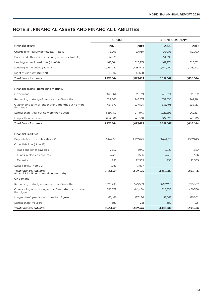# **NOTE 31. FINANCIAL ASSETS AND FINANCIAL LIABILITIES**

|                                                                                  | <b>GROUP</b> |           | <b>PARENT COMPANY</b> |           |
|----------------------------------------------------------------------------------|--------------|-----------|-----------------------|-----------|
| <b>Financial assets</b>                                                          | 2020         | 2019      | 2020                  | 2019      |
| Chargeable treasury bonds, etc. (Note 13)                                        | 76,006       | 50,030    | 76,006                | 50,030    |
| Bonds and other interest-bearing securities (Note 19)                            | 54,395       |           | 54,395                |           |
| Lending to credit institutes (Note 14)                                           | 463,664      | 320,971   | 462,974               | 320,612   |
| Lending to the public (Note 15)                                                  | 2,764,292    | 1,438,042 | 2,764,292             | 1,438,042 |
| Right of use asset (Note 30)                                                     | 12,007       | 14,650    |                       |           |
| <b>Total financial assets</b>                                                    | 3,370,364    | 1,823,693 | 3,357,667             | 1,808,684 |
|                                                                                  |              |           |                       |           |
| Financial assets - Remaining maturity                                            |              |           |                       |           |
| On demand                                                                        | 463,664      | 320,971   | 461,294               | 320,612   |
| Remaining maturity of no more than 3 months                                      | 334,068      | 243,553   | 332,858               | 242,781   |
| Outstanding term of longer than 3 months but no more<br>than 1 year              | 657,677      | 237,524   | 655,493               | 235,333   |
| Longer than I year but no more than 5 years                                      | 1,230,150    | 971,843   | 1,225,696             | 960,157   |
| Longer than five years                                                           | 684,806      | 49,800    | 682,326               | 49,800    |
| <b>Total financial assets</b>                                                    | 3,370,364    | 1,823,693 | 3,357,667             | 1,808,684 |
|                                                                                  |              |           |                       |           |
| <b>Financial liabilities</b>                                                     |              |           |                       |           |
| Deposits from the public (Note 22)                                               | 3,444,011    | 1,567,645 | 3,444,011             | 1,567,645 |
| Other liabilities (Note 23)                                                      |              |           |                       |           |
| Trade and other payables                                                         | 2,822        | 1,943     | 2,822                 | 1,820     |
| Funds in blocked accounts                                                        | 4,491        | 1,506     | 4,491                 | 1,506     |
| Deposits                                                                         | 958          | 22,505    | 958                   | 22,505    |
| Lease liability (Note 30)                                                        | 11,289       | 13,877    |                       |           |
| <b>Total financial liabilities</b><br>Financial liabilities - Remaining maturity | 3,463,571    | 1,607,476 | 3,452,282             | 1,593,476 |
| On demand                                                                        |              |           |                       |           |
| Remaining maturity of no more than 3 months                                      | 3,073,438    | 978,509   | 3,072,791             | 978,387   |
| Outstanding term of longer than 3 months but no more<br>than 1 year              | 322,279      | 441,460   | 320,338               | 439,366   |
| Longer than I year but no more than 5 years                                      | 67,466       | 187,286   | 58,765                | 175,502   |
| Longer than five years                                                           | 389          | 221       | 389                   | 221       |
| <b>Total financial liabilities</b>                                               | 3,463,571    | 1,607,476 | 3,452,282             | 1,593,476 |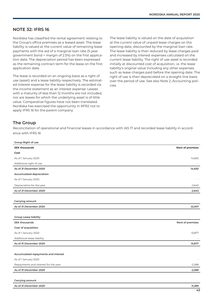# **NOTE 32: IFRS 16**

Nordiska has classified the rental agreement relating to the Group's office premises as a leased asset. The lease liability is valued at the current value of remaining lease payments with the aid of a marginal loan rate (5-year government bond + margin of 2.5%) on the first application date. The depreciation period has been expressed as the remaining contract term for the lease on the first application date.

The lease is recorded on an ongoing basis as a right of use (asset) and a lease liability respectively. The estimated interest expense for the lease liability is recorded via the income statement as an interest expense. Leases with a maturity of less than 12 months are not included, nor are leases for which the underlying asset is of little value. Comparative figures have not been translated. Nordiska has exercised the opportunity in RFR2 not to apply IFRS 16 for the parent company.

The lease liability is valued on the date of acquisition at the current value of unpaid lease charges on the opening date, discounted by the marginal loan rate. The lease liability is then reduced by lease charges paid and increased by interest expenses calculated on the current lease liability. The right of use asset is recorded initially at discounted cost of acquisition, i.e. the lease liability's original value including any other expenses such as lease charges paid before the opening date. The right of use is then depreciated on a straight-line basis over the period of use. See also Note 2, Accounting policies.

# **The Group**

Reconciliation of operational and financial leases in accordance with IAS 17 and recorded lease liability in accordance with IFRS 16

| <b>SEK thousands</b><br>Cost<br>As of 1 January 2020<br>Additional right of use<br>As of 31 December 2020 | <b>Rent of premises</b><br>14,650 |
|-----------------------------------------------------------------------------------------------------------|-----------------------------------|
|                                                                                                           |                                   |
|                                                                                                           |                                   |
|                                                                                                           |                                   |
|                                                                                                           |                                   |
|                                                                                                           | 14,650                            |
| Accumulated depreciation                                                                                  |                                   |
| As of 1 January 2020                                                                                      |                                   |
| Depreciation for the year                                                                                 | $-2,643$                          |
| As of 31 December 2020                                                                                    | $-2,643$                          |
|                                                                                                           |                                   |
| Carrying amount                                                                                           |                                   |
| As of 31 December 2020                                                                                    | 12,007                            |
|                                                                                                           |                                   |
| <b>Group Lease liability</b>                                                                              |                                   |
| <b>SEK thousands</b>                                                                                      | Rent of premises                  |
| Cost of acquisition                                                                                       |                                   |
| As of 1 January 2020                                                                                      | 13,877                            |
| Additional lease liability                                                                                |                                   |
| As of 31 December 2020                                                                                    | 13,877                            |
|                                                                                                           |                                   |
| Accumulated repayments and interest                                                                       |                                   |
| As of 1 January 2020                                                                                      |                                   |
| Repayments and interest for the year                                                                      | $-2,588$                          |
| As of 31 December 2020                                                                                    | $-2,588$                          |

| __                                                                                                                                             |           |
|------------------------------------------------------------------------------------------------------------------------------------------------|-----------|
| r 2020<br>As of 31 December<br>the contract of the contract of the contract of the contract of the contract of the contract of the contract of | 289<br>-- |
|                                                                                                                                                |           |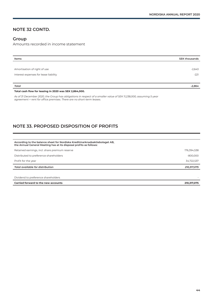## **NOTE 32 CONTD.**

#### **Group**

l,

Amounts recorded in income statement

| Items                                 | <b>SEK thousands</b> |
|---------------------------------------|----------------------|
|                                       |                      |
| Amortisation of right of use          | $-2,643$             |
| Interest expenses for lease liability | $-221$               |
|                                       |                      |
| Total                                 | -2,864               |

**Total cash flow for leasing in 2020 was SEK 2,864,000.**

*As of 31 December 2020, the Group has obligations in respect of a smaller value of SEK 11,238,000, assuming 5-year agreement = rent for office premises. There are no short-term leases.*

# **NOTE 33. PROPOSED DISPOSITION OF PROFITS**

| According to the balance sheet for Nordiska Kreditmarknadsaktiebolaget AB,<br>the Annual General Meeting has at its disposal profits as follows: |             |
|--------------------------------------------------------------------------------------------------------------------------------------------------|-------------|
| Retained earnings, incl. share premium reserve                                                                                                   | 176,394,538 |
| Distributed to preference shareholders                                                                                                           | $-800,000$  |
| Profit for the year                                                                                                                              | 34,722,537  |
| Total available for distribution                                                                                                                 | 210,317,075 |
|                                                                                                                                                  |             |
| Dividend to preference shareholders                                                                                                              |             |

| Carried forward to the new accounts | ,<br>$\sim$ |
|-------------------------------------|-------------|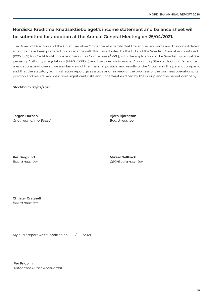# **Nordiska Kreditmarknadsaktiebolaget's income statement and balance sheet will be submitted for adoption at the Annual General Meeting on 25/04/2021.**

The Board of Directors and the Chief Executive Officer hereby certify that the annual accounts and the consolidated accounts have been prepared in accordance with IFRS as adopted by the EU and the Swedish Annual Accounts Act (1995:1559) for Credit Institutions and Securities Companies (ÅRKL), with the application of the Swedish Financial Supervisory Authority's regulations (FFFS 2008:25) and the Swedish Financial Accounting Standards Council's recommendations, and give a true and fair view of the financial position and results of the Group and the parent company, and that the statutory administration report gives a true and fair view of the progress of the business operations, its position and results, and describes significant risks and uncertainties faced by the Group and the parent company.

**Stockholm, 25/02/2021**

**Jörgen Durban** *Chairman of the Board* **Björn Björnsson** *Board member*

**Per Berglund** *Board member* **Mikael Gellbäck** *CEO/Board member*

**Christer Cragnell** *Board member*

My audit report was submitted on \_\_\_\_/\_\_\_/2021.

**Per Fridolin** *Authorised Public Accountant*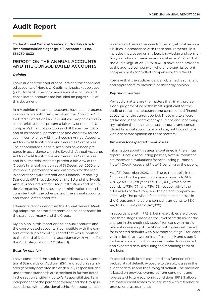# **Audit Report**

**To the Annual General Meeting of Nordiska Kreditmarknadsaktiebolaget (publ), corporate ID no. 556760-6032**

### **REPORT ON THE ANNUAL ACCOUNTS AND THE CONSOLIDATED ACCOUNTS**

#### *Opinion*

I have audited the annual accounts and the consolidated accounts of Nordiska Kreditmarknadsaktiebolaget (publ) for 2020. The company's annual accounts and consolidated accounts are included on pages 4–45 of this document.

In my opinion the annual accounts have been prepared in accordance with the Swedish Annual Accounts Act for Credit Institutions and Securities Companies and in all material respects present a fair view of the parent company's financial position as of 31 December 2020 and of its financial performance and cash flow for the year in compliance with the Swedish Annual Accounts Act for Credit Institutions and Securities Companies. The consolidated financial accounts have been prepared in accordance with the Swedish Annual Accounts Act for Credit Institutions and Securities Companies and in all material respects present a fair view of the Group's financial position as of 31 December 2020 and its financial performance and cash flows for the year in accordance with International Financial Reporting Standards (IFRS) as adopted by the EU and the Swedish Annual Accounts Act for Credit Institutions and Securities Companies. The statutory administration report is consistent with the other parts of the annual accounts and consolidated accounts.

I therefore recommend that the Annual General Meeting adopt the income statement and balance sheet for the parent company and the Group.

My opinion in this report on the annual accounts and the consolidated accounts is compatible with the content of the supplementary report that was submitted to the Board of Directors in accordance with Article 11 of the Audit Regulation (537/2014/EU).

#### *Basis for opinion*

I have conducted the audit in accordance with International Standards on Auditing (ISA) and auditing standards generally accepted in Sweden. My responsibilities under those standards are described in further detail in the section entitled Auditor's Responsibilities. I am independent of the parent company and the Group in accordance with professional ethics for accountants in

Sweden and have otherwise fulfilled my ethical responsibilities in accordance with these requirements. This includes that, based on my best knowledge and conviction, no forbidden services as described in Article 5.1 of the Audit Regulation (537/2014/EU) have been provided to the audited company or, where relevant, its parent company or its controlled companies within the EU.

I believe that the audit evidence I obtained is sufficient and appropriate to provide a basis for my opinion.

#### *Key audit matters*

Key audit matters are the matters that, in my professional judgement were the most significant for the audit of the annual accounts and consolidated financial accounts for the current period. These matters were addressed in the context of my audit of, and in forming my opinion thereon, the annual accounts and consolidated financial accounts as a whole, but I do not provide a separate opinion on these matters.

#### *Provision for expected credit losses*

Information about this area is contained in the annual report – Note 2 Accounting policies, Note 4 Important estimates and evaluations for accounting purposes, Note 11 Credit losses and Note 16 Lending to the public.

As of 31 December 2020, Lending to the public in the Group and in the parent company amounts to SEK 2,764,292,000 (last year 1,438,042,000), which corresponds to 73% (77) and 73% (78) respectively of the total assets of the Group and the parent company respectively. The provision for expected credit losses in the Group and the parent company amounts to SEK 44,823,000 (last year 29,142,000).

In accordance with IFRS 9, loan receivables are divided into three stages based on the level of credit risk or the change in the credit risk: stage 1 for loans with no significant worsening of credit risk, with losses estimated for expected defaults within 12 months, stage 2 for loans with a significant worsening of credit risk and stage 3 for loans in default with losses estimated for occurred and expected defaults during the remaining term of the loan.

Expected credit loss is calculated as a function of the probability of default, exposure to default, losses in the event of default and the timing of default. The provision is based on previous events, current conditions and forecasts of future economic conditions. IFRS 9 allows estimated credit losses to be adjusted with reference to professional assessments.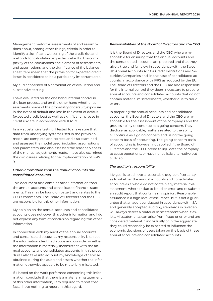Management performs assessments of and assumptions about, among other things, criteria in order to identify a significant worsening of the credit risk and methods for calculating expected defaults. The complexity of the calculations, the element of assessments and assumptions, and the significance of the balance sheet item mean that the provision for expected credit losses is considered to be a particularly important area.

My audit consisted of a combination of evaluation and substantive testing.

I have evaluated on the one hand internal control in the loan process, and on the other hand whether assessments made of the probability of default, exposure in the event of default and loss in the event of default (expected credit loss) as well as significant increase in credit risk are in accordance with IFRS 9.

In my substantive testing, I tested to make sure that data from underlying systems used in the provision model are complete and correct, and also examined and assessed the model used, including assumptions and parameters, and also assessed the reasonableness of the manual adjustments made. I have also examined the disclosures relating to the implementation of IFRS 9.

#### *Other information than the annual accounts and consolidated accounts*

This document also contains other information than the annual accounts and consolidated financial statements. This may be found on page 3 and relates to the CEO's comments.. The Board of Directors and the CEO are responsible for this other information.

My opinion on the annual accounts and consolidated accounts does not cover this other information and I do not express any form of conclusion regarding this other information.

In connection with my audit of the annual accounts and consolidated accounts, my responsibility is to read the information identified above and consider whether the information is materially inconsistent with the annual accounts and consolidated accounts. In this procedure I also take into account my knowledge otherwise obtained during the audit and assess whether the information otherwise appears to be materially misstated.

If I, based on the work performed concerning this information, conclude that there is a material misstatement of this other information, I am required to report that fact. I have nothing to report in this regard.

#### *Responsibilities of the Board of Directors and the CEO*

It is the Board of Directors and the CEO who are responsible for ensuring that the annual accounts and the consolidated accounts are prepared and that they give a true and fair view in accordance with the Swedish Annual Accounts Act for Credit Institutions and Securities Companies and, in the case of consolidated accounts, in accordance with IFRS as adopted by the EU. The Board of Directors and the CEO are also responsible for the internal control they deem necessary to prepare annual accounts and consolidated accounts that do not contain material misstatements, whether due to fraud or error.

In preparing the annual accounts and consolidated accounts, the Board of Directors and the CEO are responsible for the assessment of the company's and the group's ability to continue as a going concern. They disclose, as applicable, matters related to the ability to continue as a going concern and using the going concern basis of accounting. The going concern basis of accounting is, however, not applied if the Board of Directors and the CEO intend to liquidate the company, to cease operations, or have no realistic alternative but to do so.

#### *The auditor's responsibility*

My goal is to achieve a reasonable degree of certainty as to whether the annual accounts and consolidated accounts as a whole do not contain any material misstatement, whether due to fraud or error, and to submit an audit report that contains my opinion. Reasonable assurance is a high level of assurance, but is not a guarantee that an audit conducted in accordance with ISA and generally accepted auditing standards in Sweden will always detect a material misstatement when it exists. Misstatements can arise from fraud or error and are considered material if, individually or in the aggregate, they could reasonably be expected to influence the economic decisions of users taken on the basis of these annual accounts and consolidated accounts.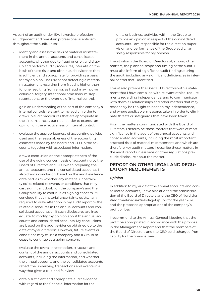As part of an audit under ISA, I exercise professional judgement and maintain professional scepticism throughout the audit. I also:

- identify and assess the risks of material misstatement in the annual accounts and consolidated accounts, whether due to fraud or error, and draw up and perform audit procedures, inter alia on the basis of these risks and obtain audit evidence that is sufficient and appropriate for providing a basis for my opinion. The risk of not detecting a material misstatement resulting from fraud is higher than for one resulting from error, as fraud may involve collusion, forgery, intentional omissions, misrepresentations, or the override of internal control.
- gain an understanding of the part of the company's internal controls relevant to my audit in order to draw up audit procedures that are appropriate in the circumstances, but not in order to express an opinion on the effectiveness of internal control.
- evaluate the appropriateness of accounting policies used and the reasonableness of the accounting estimates made by the board and CEO in the accounts together with associated information.
- draw a conclusion on the appropriateness of the use of the going concern basis of accounting by the Board of Directors and CEO when preparing the annual accounts and the consolidated accounts. I also draw a conclusion, based on the audit evidence obtained, as to whether any material uncertainty exists related to events or conditions that may cast significant doubt on the company's and the Group's ability to continue as a going concern. If I conclude that a material uncertainty exists, I am required to draw attention in my audit report to the related disclosures in the annual accounts and consolidated accounts or, if such disclosures are inadequate, to modify my opinion about the annual accounts and consolidated accounts. My conclusions are based on the audit evidence obtained up to the date of my audit report. However, future events or conditions may cause a company and a Group to cease to continue as a going concern.
	- evaluate the overall presentation, structure and content of the annual accounts and consolidated accounts, including the information, and whether the annual accounts and the consolidated accounts reflect the underlying transactions and events in a way that gives a true and fair view.
- obtain sufficient and appropriate audit evidence with regard to the financial information for the

units or business activities within the Group to provide an opinion in respect of the consolidated accounts. I am responsible for the direction, supervision and performance of the Group audit. I am solely responsible for my opinion.

I must inform the Board of Directors of, among other matters, the planned scope and timing of the audit. I must also inform of significant audit findings during the audit, including any significant deficiencies in internal control that I identified.

I must also provide the Board of Directors with a statement that I have complied with relevant ethical requirements regarding independence, and to communicate with them all relationships and other matters that may reasonably be thought to bear on my independence, and where applicable, measures taken in order to eliminate threats or safeguards that have been taken.

From the matters communicated with the Board of Directors, I determine those matters that were of most significance in the audit of the annual accounts and consolidated accounts, including the most important assessed risks of material misstatement, and which are therefore key audit matters. I describe these matters in the audit report unless laws or other regulations preclude disclosure about the matter.

### **REPORT ON OTHER LEGAL AND REGU-LATORY REQUIREMENTS**

#### *Opinion*

In addition to my audit of the annual accounts and consolidated accounts, I have also audited the administration of the Board of Directors and the CEO of Nordiska Kreditmarknadsaktiebolaget (publ) for the year 2020 and the proposed appropriations of the company's profit or loss.

I recommend to the Annual General Meeting that the profit be appropriated in accordance with the proposal in the Management Report and that the members of the Board of Directors and the CEO be discharged from liability for the financial year.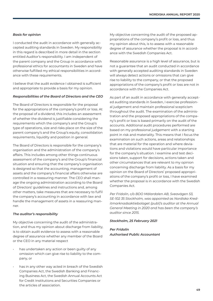#### *Basis for opinion*

I conducted the audit in accordance with generally accepted auditing standards in Sweden. My responsibility in this regard is described in more detail in the section entitled Auditor's responsibility. I am independent of the parent company and the Group in accordance with professional ethics for accountants in Sweden and have otherwise fulfilled my ethical responsibilities in accordance with these requirements.

I believe that the audit evidence I obtained is sufficient and appropriate to provide a basis for my opinion.

#### *Responsibilities of the Board of Directors and the CEO*

The Board of Directors is responsible for the proposal for the appropriations of the company's profit or loss. At the proposal of a dividend, this includes an assessment of whether the dividend is justifiable considering the requirements which the company's and the Group's type of operations, size and risks place on the size of the parent company's and the Group's equity, consolidation requirements, liquidity and position in general.

The Board of Directors is responsible for the company's organisation and the administration of the company's affairs. This includes among other things continuous assessment of the company's and the Group's financial situation and ensuring that the company's organisation is designed so that the accounting, management of assets and the company's financial affairs otherwise are controlled in a reassuring manner. The CEO shall manage the ongoing administration according to the Board of Directors' guidelines and instructions and, among other matters, take measures that are necessary to fulfil the company's accounting in accordance with law and handle the management of assets in a reassuring manner.

#### *The auditor's responsibility*

My objective concerning the audit of the administration, and thus my opinion about discharge from liability, is to obtain audit evidence to assess with a reasonable degree of assurance whether any member of the Board or the CEO in any material respect

- has undertaken any action or been quilty of any omission which can give rise to liability to the company, or
- has in any other way acted in breach of the Swedish Companies Act, the Swedish Banking and Financing Business Act, the Swedish Annual Accounts Act for Credit Institutions and Securities Companies or the articles of association.

My objective concerning the audit of the proposed appropriations of the company's profit or loss, and thus my opinion about this, is to assess with a reasonable degree of assurance whether the proposal is in accordance with the Swedish Companies Act.

Reasonable assurance is a high level of assurance, but is not a guarantee that an audit conducted in accordance with generally accepted auditing standards in Sweden will always detect actions or omissions that can give rise to liability to the company, or that the proposed appropriations of the company's profit or loss are not in accordance with the Companies Act.

As part of an audit in accordance with generally accepted auditing standards in Sweden, I exercise professional judgement and maintain professional scepticism throughout the audit. The examination of the administration and the proposed appropriations of the company's profit or loss is based primarily on the audit of the accounts. Additional audit procedures performed are based on my professional judgement with a starting point in risk and materiality. This means that I focus the examination on such actions, areas and relationships that are material for the operation and where deviations and violations would have particular importance for the company's situation. I examine and test decisions taken, support for decisions, actions taken and other circumstances that are relevant to my opinion concerning discharge from liability. As a basis for my opinion on the Board of Directors' proposed appropriations of the company's profit or loss, I have examined whether the proposal is in accordance with the Swedish Companies Act.

*Per Fridolin, c/o BDO Mälardalen AB, Sveavägen 53, SE-102 35 Stockholm, was appointed as Nordiska Kreditmarknadsaktiebolaget (publ)'s auditor at the Annual General Meeting in 2020 and has been the company's auditor since 2015.*

#### *Stockholm, 25 February 2021*

*Per Fridolin Authorised Public Accountant*